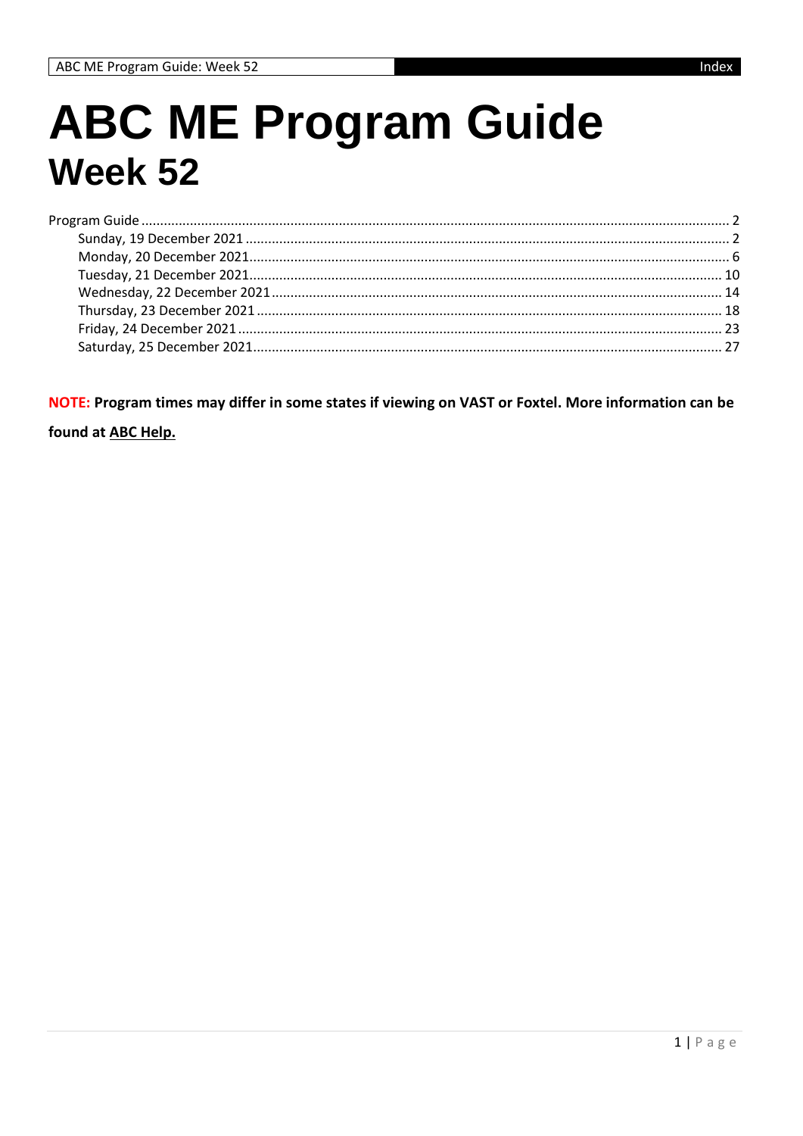# **ABC ME Program Guide Week 52**

NOTE: Program times may differ in some states if viewing on VAST or Foxtel. More information can be

found at ABC Help.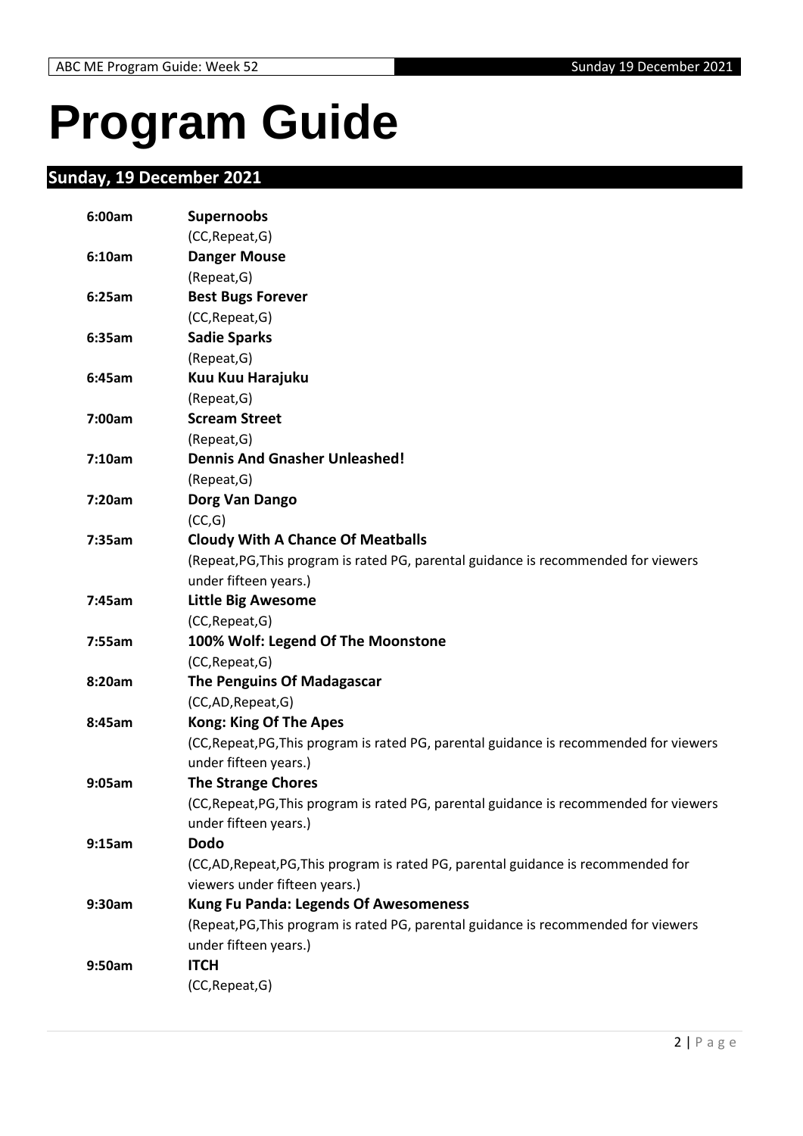# <span id="page-1-0"></span>**Program Guide**

# <span id="page-1-1"></span>**Sunday, 19 December 2021**

| 6:00am | <b>Supernoobs</b>                                                                       |
|--------|-----------------------------------------------------------------------------------------|
|        | (CC, Repeat, G)                                                                         |
| 6:10am | <b>Danger Mouse</b>                                                                     |
|        | (Repeat, G)                                                                             |
| 6:25am | <b>Best Bugs Forever</b>                                                                |
|        | (CC, Repeat, G)                                                                         |
| 6:35am | <b>Sadie Sparks</b>                                                                     |
|        | (Repeat, G)                                                                             |
| 6:45am | Kuu Kuu Harajuku                                                                        |
|        | (Repeat, G)                                                                             |
| 7:00am | <b>Scream Street</b>                                                                    |
|        | (Repeat, G)                                                                             |
| 7:10am | <b>Dennis And Gnasher Unleashed!</b>                                                    |
|        | (Repeat, G)                                                                             |
| 7:20am | Dorg Van Dango                                                                          |
|        | (CC,G)                                                                                  |
| 7:35am | <b>Cloudy With A Chance Of Meatballs</b>                                                |
|        | (Repeat, PG, This program is rated PG, parental guidance is recommended for viewers     |
|        | under fifteen years.)                                                                   |
| 7:45am | <b>Little Big Awesome</b>                                                               |
|        | (CC, Repeat, G)                                                                         |
| 7:55am | 100% Wolf: Legend Of The Moonstone                                                      |
|        | (CC, Repeat, G)                                                                         |
| 8:20am | <b>The Penguins Of Madagascar</b>                                                       |
|        | (CC,AD,Repeat,G)                                                                        |
| 8:45am | <b>Kong: King Of The Apes</b>                                                           |
|        | (CC, Repeat, PG, This program is rated PG, parental guidance is recommended for viewers |
|        | under fifteen years.)                                                                   |
| 9:05am | <b>The Strange Chores</b>                                                               |
|        | (CC, Repeat, PG, This program is rated PG, parental guidance is recommended for viewers |
|        | under fifteen years.)                                                                   |
| 9:15am | <b>Dodo</b>                                                                             |
|        | (CC,AD,Repeat,PG,This program is rated PG, parental guidance is recommended for         |
|        | viewers under fifteen years.)                                                           |
| 9:30am | <b>Kung Fu Panda: Legends Of Awesomeness</b>                                            |
|        | (Repeat, PG, This program is rated PG, parental guidance is recommended for viewers     |
|        | under fifteen years.)                                                                   |
| 9:50am | <b>ITCH</b>                                                                             |
|        | (CC, Repeat, G)                                                                         |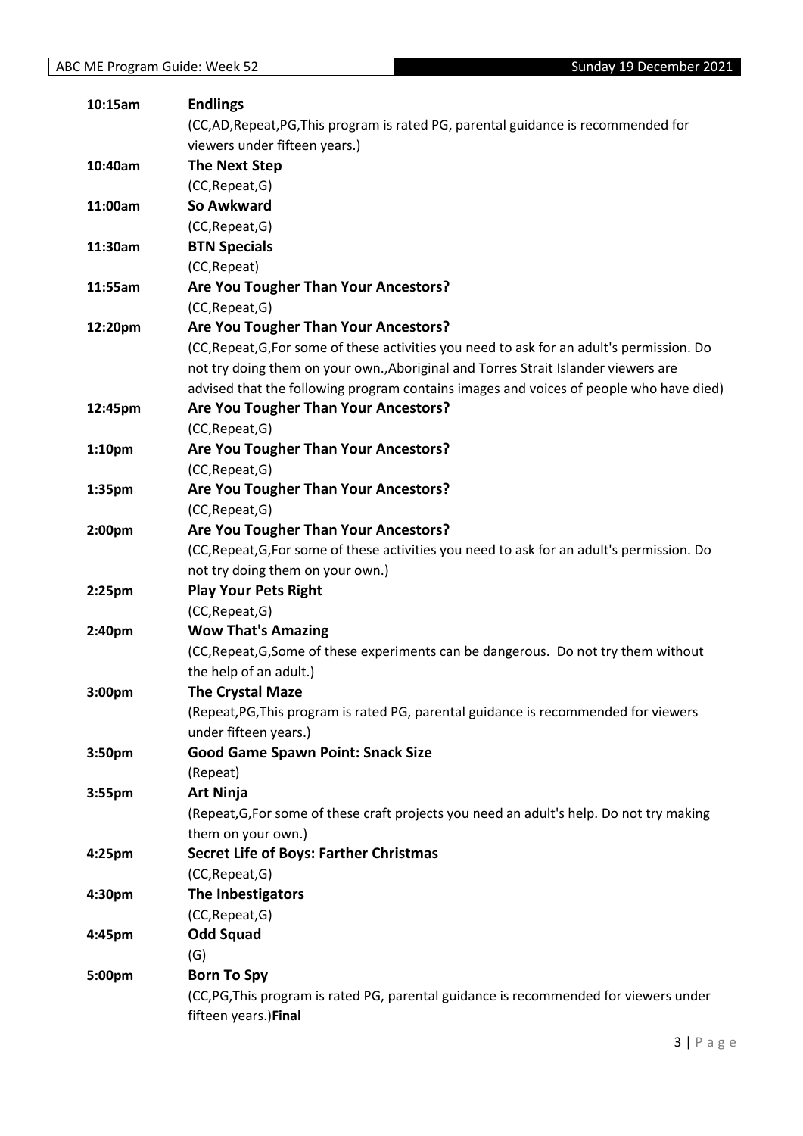| 10:15am | <b>Endlings</b>                                                                            |
|---------|--------------------------------------------------------------------------------------------|
|         | (CC,AD,Repeat,PG,This program is rated PG, parental guidance is recommended for            |
|         | viewers under fifteen years.)                                                              |
| 10:40am | <b>The Next Step</b>                                                                       |
|         | (CC, Repeat, G)                                                                            |
| 11:00am | So Awkward                                                                                 |
|         | (CC, Repeat, G)                                                                            |
| 11:30am | <b>BTN Specials</b>                                                                        |
|         | (CC, Repeat)                                                                               |
| 11:55am | Are You Tougher Than Your Ancestors?                                                       |
|         | (CC, Repeat, G)                                                                            |
| 12:20pm | Are You Tougher Than Your Ancestors?                                                       |
|         | (CC, Repeat, G, For some of these activities you need to ask for an adult's permission. Do |
|         | not try doing them on your own., Aboriginal and Torres Strait Islander viewers are         |
|         | advised that the following program contains images and voices of people who have died)     |
| 12:45pm | Are You Tougher Than Your Ancestors?                                                       |
|         | (CC, Repeat, G)                                                                            |
| 1:10pm  | Are You Tougher Than Your Ancestors?                                                       |
|         | (CC, Repeat, G)                                                                            |
| 1:35pm  | Are You Tougher Than Your Ancestors?                                                       |
|         | (CC, Repeat, G)                                                                            |
| 2:00pm  | Are You Tougher Than Your Ancestors?                                                       |
|         | (CC, Repeat, G, For some of these activities you need to ask for an adult's permission. Do |
|         | not try doing them on your own.)                                                           |
| 2:25pm  | <b>Play Your Pets Right</b>                                                                |
|         | (CC, Repeat, G)                                                                            |
| 2:40pm  | <b>Wow That's Amazing</b>                                                                  |
|         | (CC, Repeat, G, Some of these experiments can be dangerous. Do not try them without        |
|         | the help of an adult.)                                                                     |
| 3:00pm  | <b>The Crystal Maze</b>                                                                    |
|         | (Repeat, PG, This program is rated PG, parental guidance is recommended for viewers        |
|         | under fifteen years.)                                                                      |
| 3:50pm  | <b>Good Game Spawn Point: Snack Size</b>                                                   |
|         | (Repeat)                                                                                   |
| 3:55pm  | <b>Art Ninja</b>                                                                           |
|         | (Repeat, G, For some of these craft projects you need an adult's help. Do not try making   |
|         | them on your own.)                                                                         |
| 4:25pm  | <b>Secret Life of Boys: Farther Christmas</b>                                              |
|         | (CC, Repeat, G)                                                                            |
| 4:30pm  | The Inbestigators                                                                          |
|         | (CC, Repeat, G)                                                                            |
| 4:45pm  | <b>Odd Squad</b>                                                                           |
|         | (G)                                                                                        |
| 5:00pm  | <b>Born To Spy</b>                                                                         |
|         | (CC,PG,This program is rated PG, parental guidance is recommended for viewers under        |
|         | fifteen years.)Final                                                                       |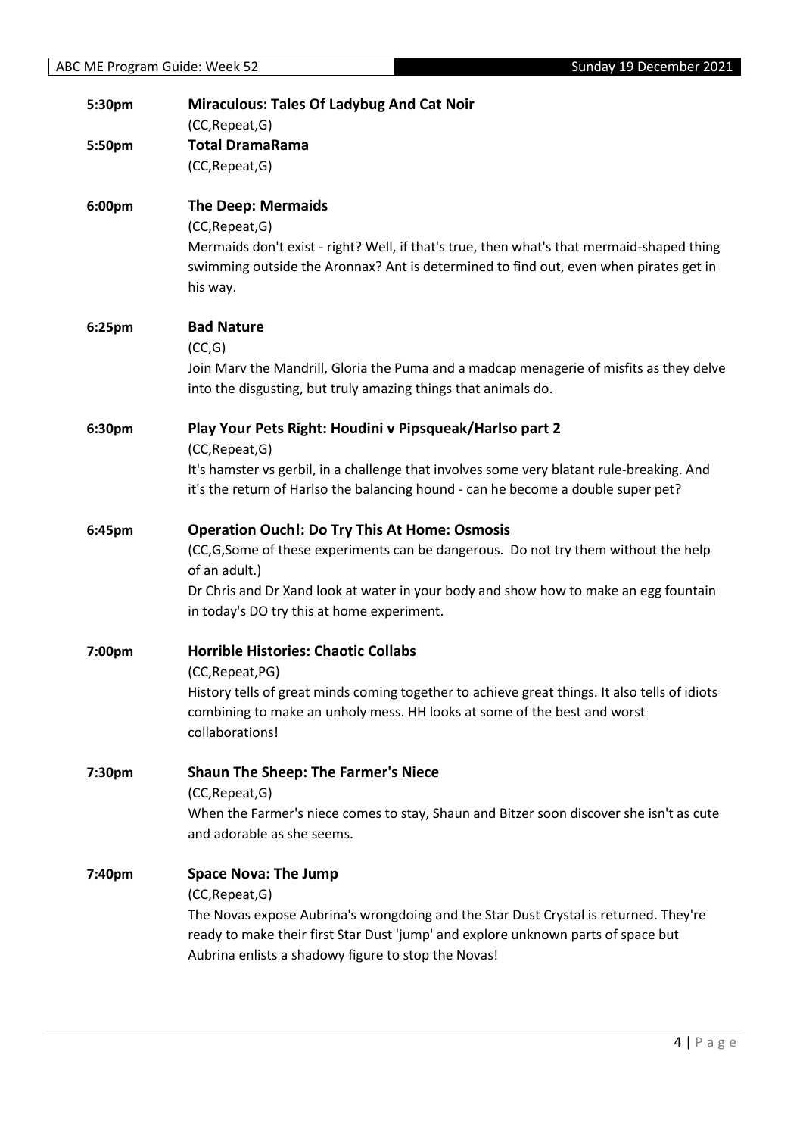| 5:30pm | <b>Miraculous: Tales Of Ladybug And Cat Noir</b><br>(CC, Repeat, G)                                                                                                                                                                                                                               |
|--------|---------------------------------------------------------------------------------------------------------------------------------------------------------------------------------------------------------------------------------------------------------------------------------------------------|
| 5:50pm | <b>Total DramaRama</b><br>(CC, Repeat, G)                                                                                                                                                                                                                                                         |
| 6:00pm | <b>The Deep: Mermaids</b><br>(CC, Repeat, G)<br>Mermaids don't exist - right? Well, if that's true, then what's that mermaid-shaped thing<br>swimming outside the Aronnax? Ant is determined to find out, even when pirates get in<br>his way.                                                    |
| 6:25pm | <b>Bad Nature</b><br>(CC,G)<br>Join Marv the Mandrill, Gloria the Puma and a madcap menagerie of misfits as they delve<br>into the disgusting, but truly amazing things that animals do.                                                                                                          |
| 6:30pm | Play Your Pets Right: Houdini v Pipsqueak/Harlso part 2<br>(CC, Repeat, G)<br>It's hamster vs gerbil, in a challenge that involves some very blatant rule-breaking. And<br>it's the return of Harlso the balancing hound - can he become a double super pet?                                      |
| 6:45pm | <b>Operation Ouch!: Do Try This At Home: Osmosis</b><br>(CC,G,Some of these experiments can be dangerous. Do not try them without the help<br>of an adult.)<br>Dr Chris and Dr Xand look at water in your body and show how to make an egg fountain<br>in today's DO try this at home experiment. |
| 7:00pm | <b>Horrible Histories: Chaotic Collabs</b><br>(CC, Repeat, PG)<br>History tells of great minds coming together to achieve great things. It also tells of idiots<br>combining to make an unholy mess. HH looks at some of the best and worst<br>collaborations!                                    |
| 7:30pm | <b>Shaun The Sheep: The Farmer's Niece</b><br>(CC, Repeat, G)<br>When the Farmer's niece comes to stay, Shaun and Bitzer soon discover she isn't as cute<br>and adorable as she seems.                                                                                                            |
| 7:40pm | <b>Space Nova: The Jump</b><br>(CC, Repeat, G)<br>The Novas expose Aubrina's wrongdoing and the Star Dust Crystal is returned. They're<br>ready to make their first Star Dust 'jump' and explore unknown parts of space but<br>Aubrina enlists a shadowy figure to stop the Novas!                |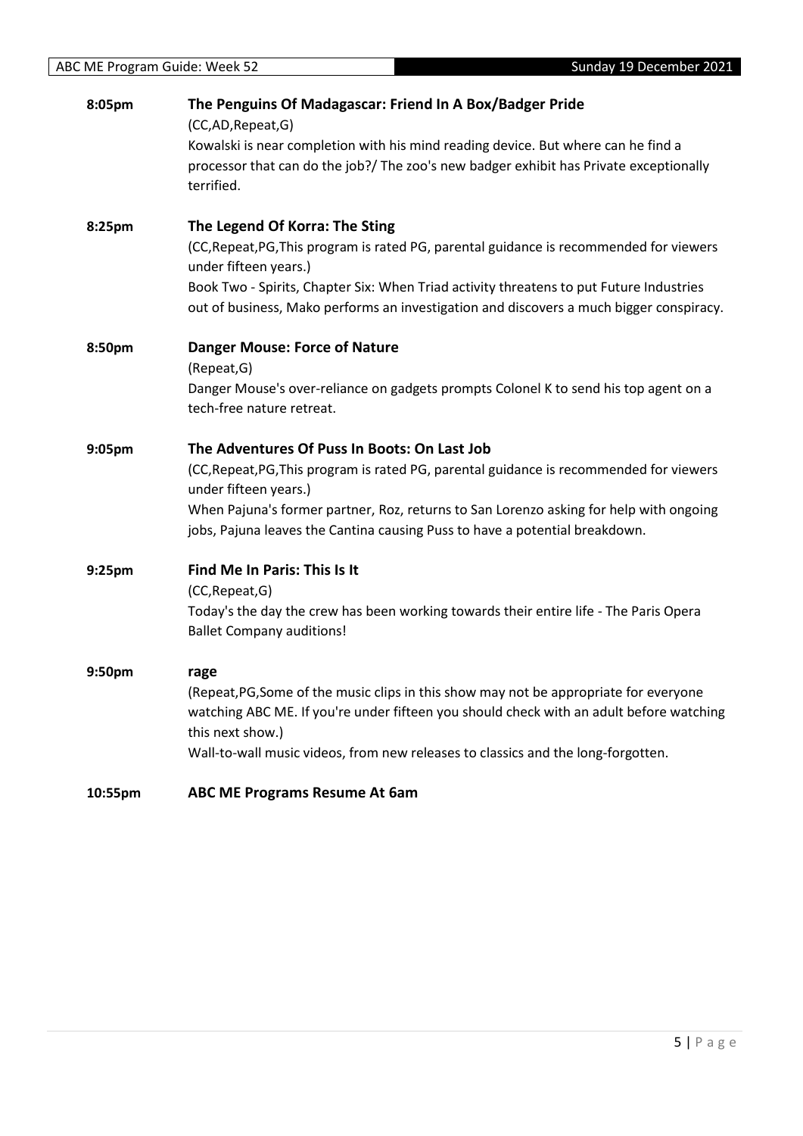| 8:05pm  | The Penguins Of Madagascar: Friend In A Box/Badger Pride<br>(CC,AD,Repeat,G)                                                                                                       |
|---------|------------------------------------------------------------------------------------------------------------------------------------------------------------------------------------|
|         | Kowalski is near completion with his mind reading device. But where can he find a<br>processor that can do the job?/ The zoo's new badger exhibit has Private exceptionally        |
|         | terrified.                                                                                                                                                                         |
| 8:25pm  | The Legend Of Korra: The Sting                                                                                                                                                     |
|         | (CC, Repeat, PG, This program is rated PG, parental guidance is recommended for viewers<br>under fifteen years.)                                                                   |
|         | Book Two - Spirits, Chapter Six: When Triad activity threatens to put Future Industries<br>out of business, Mako performs an investigation and discovers a much bigger conspiracy. |
| 8:50pm  | <b>Danger Mouse: Force of Nature</b>                                                                                                                                               |
|         | (Repeat, G)                                                                                                                                                                        |
|         | Danger Mouse's over-reliance on gadgets prompts Colonel K to send his top agent on a<br>tech-free nature retreat.                                                                  |
| 9:05pm  | The Adventures Of Puss In Boots: On Last Job                                                                                                                                       |
|         | (CC, Repeat, PG, This program is rated PG, parental guidance is recommended for viewers<br>under fifteen years.)                                                                   |
|         | When Pajuna's former partner, Roz, returns to San Lorenzo asking for help with ongoing<br>jobs, Pajuna leaves the Cantina causing Puss to have a potential breakdown.              |
| 9:25pm  | Find Me In Paris: This Is It<br>(CC, Repeat, G)                                                                                                                                    |
|         | Today's the day the crew has been working towards their entire life - The Paris Opera<br><b>Ballet Company auditions!</b>                                                          |
| 9:50pm  | rage                                                                                                                                                                               |
|         | (Repeat, PG, Some of the music clips in this show may not be appropriate for everyone                                                                                              |
|         | watching ABC ME. If you're under fifteen you should check with an adult before watching<br>this next show.)                                                                        |
|         | Wall-to-wall music videos, from new releases to classics and the long-forgotten.                                                                                                   |
| 10:55pm | <b>ABC ME Programs Resume At 6am</b>                                                                                                                                               |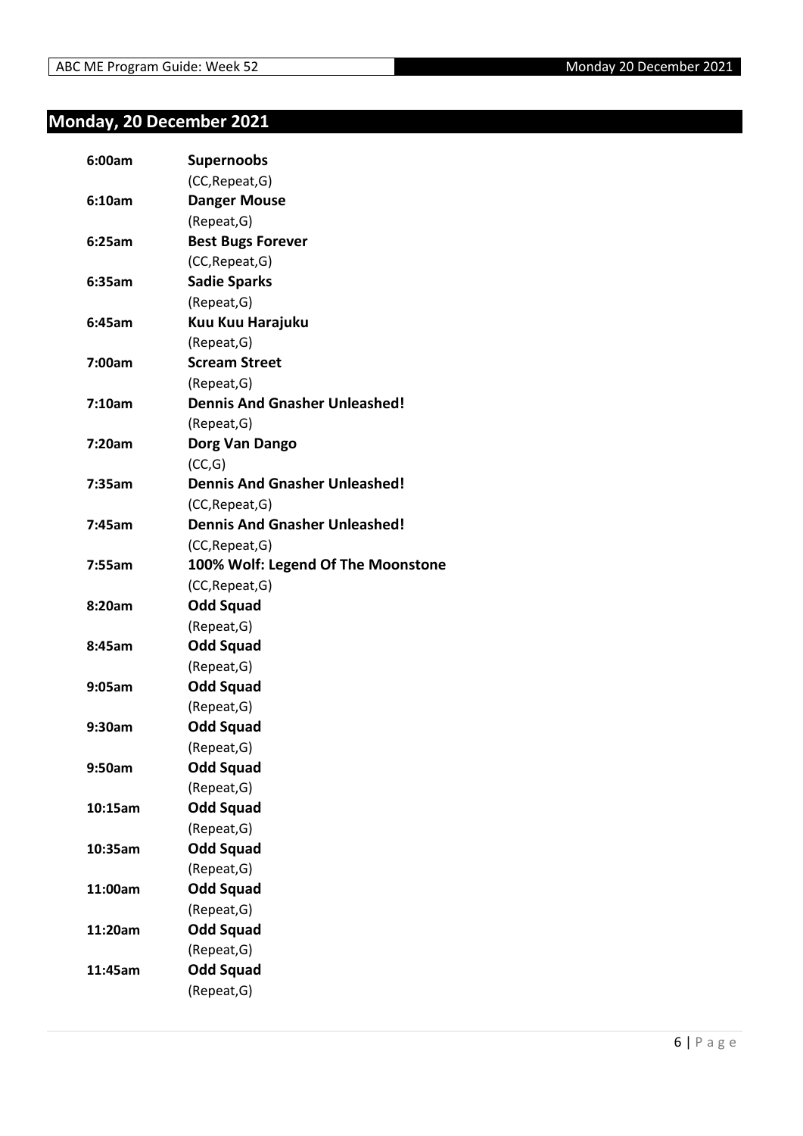#### <span id="page-5-0"></span>**Monday, 20 December 2021**

| 6:00am  | <b>Supernoobs</b>                    |
|---------|--------------------------------------|
|         | (CC, Repeat, G)                      |
| 6:10am  | <b>Danger Mouse</b>                  |
|         | (Repeat, G)                          |
| 6:25am  | <b>Best Bugs Forever</b>             |
|         | (CC, Repeat, G)                      |
| 6:35am  | <b>Sadie Sparks</b>                  |
|         | (Repeat, G)                          |
| 6:45am  | Kuu Kuu Harajuku                     |
|         | (Repeat, G)                          |
| 7:00am  | <b>Scream Street</b>                 |
|         | (Repeat, G)                          |
| 7:10am  | <b>Dennis And Gnasher Unleashed!</b> |
|         | (Repeat, G)                          |
| 7:20am  | Dorg Van Dango                       |
|         | (CC,G)                               |
| 7:35am  | <b>Dennis And Gnasher Unleashed!</b> |
|         | (CC, Repeat, G)                      |
| 7:45am  | <b>Dennis And Gnasher Unleashed!</b> |
|         | (CC, Repeat, G)                      |
| 7:55am  | 100% Wolf: Legend Of The Moonstone   |
|         | (CC, Repeat, G)                      |
| 8:20am  | <b>Odd Squad</b>                     |
|         | (Repeat, G)                          |
| 8:45am  | <b>Odd Squad</b>                     |
|         | (Repeat, G)                          |
| 9:05am  | Odd Squad                            |
|         | (Repeat, G)                          |
| 9:30am  | <b>Odd Squad</b>                     |
|         | (Repeat, G)                          |
| 9:50am  | <b>Odd Squad</b>                     |
|         | (Repeat, G)                          |
| 10:15am | <b>Odd Squad</b>                     |
|         | (Repeat, G)                          |
| 10:35am | <b>Odd Squad</b>                     |
|         | (Repeat, G)                          |
| 11:00am | <b>Odd Squad</b>                     |
|         | (Repeat, G)                          |
| 11:20am | <b>Odd Squad</b>                     |
|         | (Repeat, G)                          |
| 11:45am | <b>Odd Squad</b>                     |
|         | (Repeat, G)                          |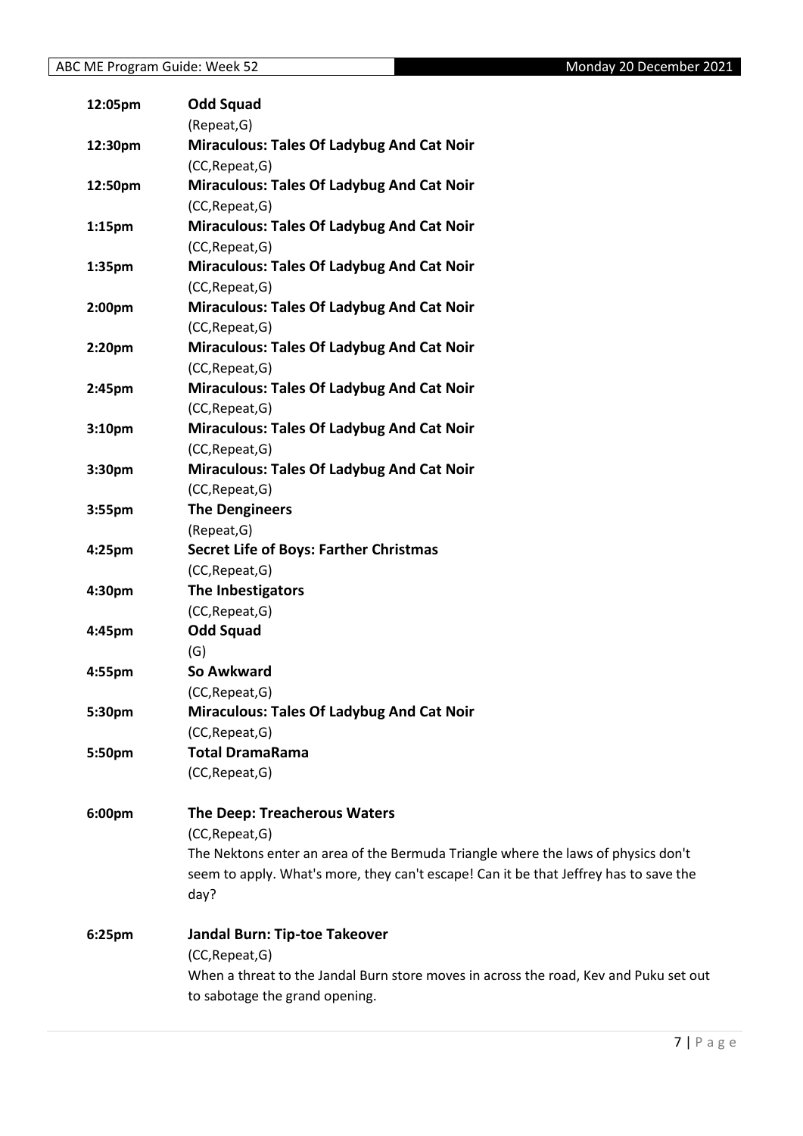| 12:05pm            | <b>Odd Squad</b>                                                                      |
|--------------------|---------------------------------------------------------------------------------------|
|                    | (Repeat, G)                                                                           |
| 12:30pm            | <b>Miraculous: Tales Of Ladybug And Cat Noir</b>                                      |
|                    | (CC, Repeat, G)                                                                       |
| 12:50pm            | <b>Miraculous: Tales Of Ladybug And Cat Noir</b>                                      |
|                    | (CC, Repeat, G)                                                                       |
| 1:15 <sub>pm</sub> | <b>Miraculous: Tales Of Ladybug And Cat Noir</b>                                      |
|                    | (CC, Repeat, G)                                                                       |
| 1:35pm             | <b>Miraculous: Tales Of Ladybug And Cat Noir</b>                                      |
|                    | (CC, Repeat, G)                                                                       |
| 2:00pm             | <b>Miraculous: Tales Of Ladybug And Cat Noir</b>                                      |
|                    | (CC, Repeat, G)                                                                       |
| 2:20pm             | <b>Miraculous: Tales Of Ladybug And Cat Noir</b>                                      |
|                    | (CC, Repeat, G)                                                                       |
| 2:45pm             | <b>Miraculous: Tales Of Ladybug And Cat Noir</b>                                      |
|                    | (CC, Repeat, G)                                                                       |
| 3:10pm             | <b>Miraculous: Tales Of Ladybug And Cat Noir</b>                                      |
|                    | (CC, Repeat, G)                                                                       |
| 3:30pm             | <b>Miraculous: Tales Of Ladybug And Cat Noir</b>                                      |
|                    | (CC, Repeat, G)                                                                       |
| 3:55pm             | <b>The Dengineers</b>                                                                 |
|                    | (Repeat, G)                                                                           |
| 4:25pm             | <b>Secret Life of Boys: Farther Christmas</b>                                         |
|                    | (CC, Repeat, G)                                                                       |
| 4:30pm             | The Inbestigators                                                                     |
|                    | (CC, Repeat, G)                                                                       |
| 4:45pm             | <b>Odd Squad</b>                                                                      |
|                    | (G)                                                                                   |
| 4:55pm             | So Awkward                                                                            |
|                    | (CC, Repeat, G)                                                                       |
| 5:30pm             | <b>Miraculous: Tales Of Ladybug And Cat Noir</b>                                      |
|                    | (CC, Repeat, G)                                                                       |
| 5:50pm             | <b>Total DramaRama</b>                                                                |
|                    | (CC, Repeat, G)                                                                       |
| 6:00pm             | <b>The Deep: Treacherous Waters</b>                                                   |
|                    | (CC, Repeat, G)                                                                       |
|                    | The Nektons enter an area of the Bermuda Triangle where the laws of physics don't     |
|                    | seem to apply. What's more, they can't escape! Can it be that Jeffrey has to save the |
|                    | day?                                                                                  |
| 6:25pm             | Jandal Burn: Tip-toe Takeover                                                         |
|                    | (CC, Repeat, G)                                                                       |
|                    | When a threat to the Jandal Burn store moves in across the road, Kev and Puku set out |
|                    | to sabotage the grand opening.                                                        |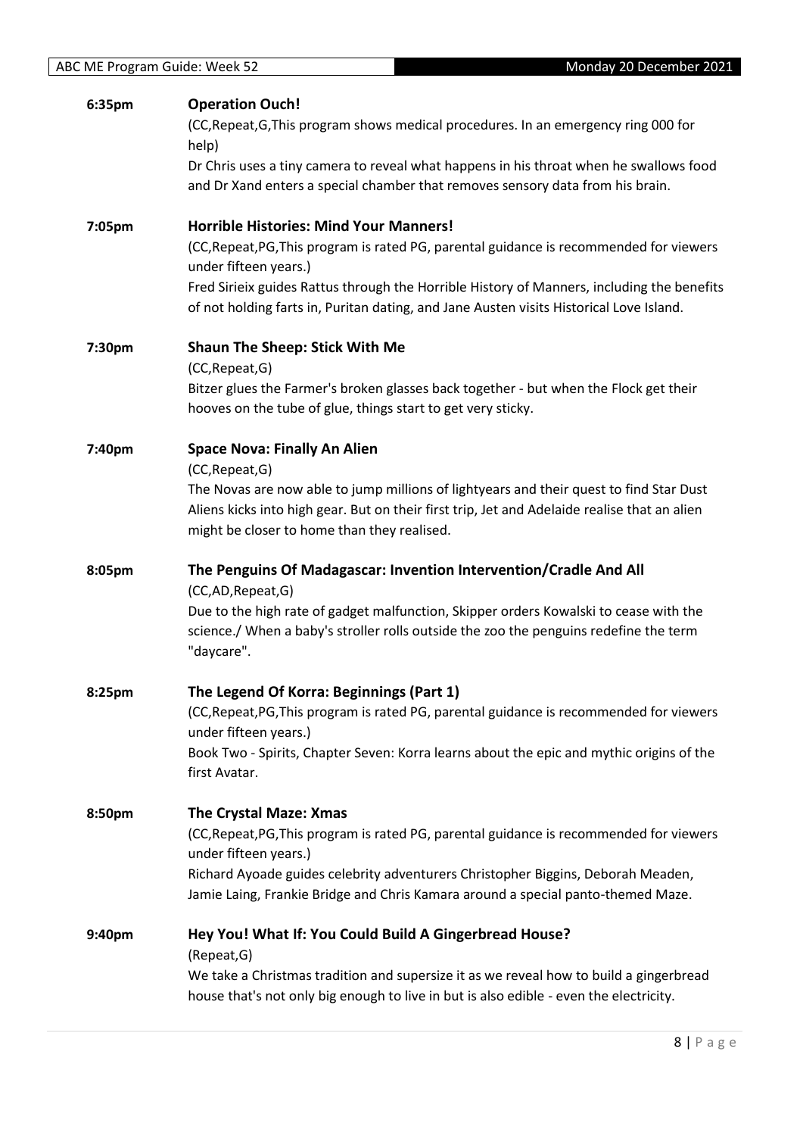| 6:35pm             | <b>Operation Ouch!</b>                                                                       |
|--------------------|----------------------------------------------------------------------------------------------|
|                    | (CC, Repeat, G, This program shows medical procedures. In an emergency ring 000 for          |
|                    | help)                                                                                        |
|                    | Dr Chris uses a tiny camera to reveal what happens in his throat when he swallows food       |
|                    | and Dr Xand enters a special chamber that removes sensory data from his brain.               |
| 7:05pm             | <b>Horrible Histories: Mind Your Manners!</b>                                                |
|                    | (CC, Repeat, PG, This program is rated PG, parental guidance is recommended for viewers      |
|                    | under fifteen years.)                                                                        |
|                    | Fred Sirieix guides Rattus through the Horrible History of Manners, including the benefits   |
|                    | of not holding farts in, Puritan dating, and Jane Austen visits Historical Love Island.      |
| 7:30pm             | <b>Shaun The Sheep: Stick With Me</b>                                                        |
|                    | (CC, Repeat, G)                                                                              |
|                    | Bitzer glues the Farmer's broken glasses back together - but when the Flock get their        |
|                    | hooves on the tube of glue, things start to get very sticky.                                 |
| 7:40pm             | <b>Space Nova: Finally An Alien</b>                                                          |
|                    | (CC, Repeat, G)                                                                              |
|                    | The Novas are now able to jump millions of lightyears and their quest to find Star Dust      |
|                    | Aliens kicks into high gear. But on their first trip, Jet and Adelaide realise that an alien |
|                    | might be closer to home than they realised.                                                  |
| 8:05pm             | The Penguins Of Madagascar: Invention Intervention/Cradle And All                            |
|                    | (CC,AD,Repeat,G)                                                                             |
|                    | Due to the high rate of gadget malfunction, Skipper orders Kowalski to cease with the        |
|                    | science./ When a baby's stroller rolls outside the zoo the penguins redefine the term        |
|                    | "daycare".                                                                                   |
| 8:25 <sub>pm</sub> | The Legend Of Korra: Beginnings (Part 1)                                                     |
|                    | (CC, Repeat, PG, This program is rated PG, parental guidance is recommended for viewers      |
|                    | under fifteen years.)                                                                        |
|                    | Book Two - Spirits, Chapter Seven: Korra learns about the epic and mythic origins of the     |
|                    | first Avatar.                                                                                |
| 8:50pm             | The Crystal Maze: Xmas                                                                       |
|                    | (CC, Repeat, PG, This program is rated PG, parental guidance is recommended for viewers      |
|                    | under fifteen years.)                                                                        |
|                    | Richard Ayoade guides celebrity adventurers Christopher Biggins, Deborah Meaden,             |
|                    | Jamie Laing, Frankie Bridge and Chris Kamara around a special panto-themed Maze.             |
| 9:40pm             | Hey You! What If: You Could Build A Gingerbread House?                                       |
|                    | (Repeat, G)                                                                                  |
|                    | We take a Christmas tradition and supersize it as we reveal how to build a gingerbread       |
|                    | house that's not only big enough to live in but is also edible - even the electricity.       |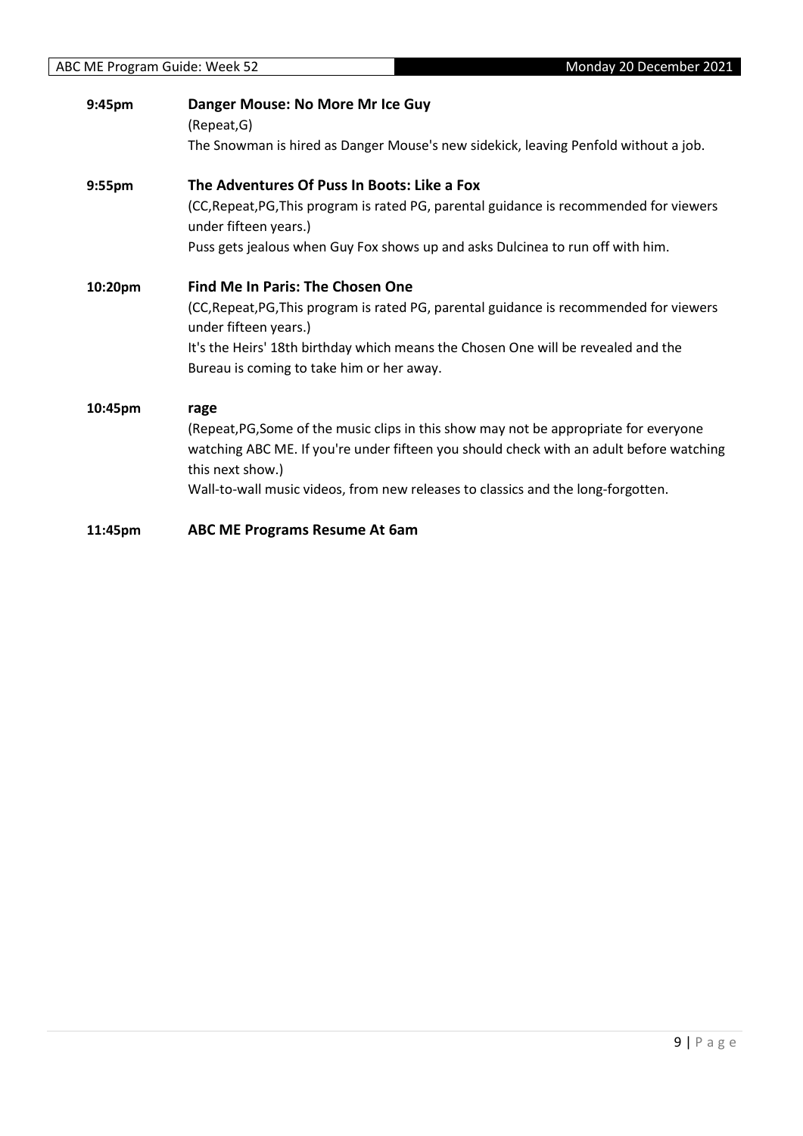| Monday 20 December 2021<br>ABC ME Program Guide: Week 52 |                                                                                                                                                                                                                                                                                                  |
|----------------------------------------------------------|--------------------------------------------------------------------------------------------------------------------------------------------------------------------------------------------------------------------------------------------------------------------------------------------------|
| 9:45pm                                                   | Danger Mouse: No More Mr Ice Guy<br>(Repeat,G)<br>The Snowman is hired as Danger Mouse's new sidekick, leaving Penfold without a job.                                                                                                                                                            |
| 9:55pm                                                   | The Adventures Of Puss In Boots: Like a Fox<br>(CC, Repeat, PG, This program is rated PG, parental guidance is recommended for viewers<br>under fifteen years.)<br>Puss gets jealous when Guy Fox shows up and asks Dulcinea to run off with him.                                                |
| 10:20pm                                                  | <b>Find Me In Paris: The Chosen One</b><br>(CC, Repeat, PG, This program is rated PG, parental guidance is recommended for viewers<br>under fifteen years.)<br>It's the Heirs' 18th birthday which means the Chosen One will be revealed and the<br>Bureau is coming to take him or her away.    |
| 10:45pm                                                  | rage<br>(Repeat, PG, Some of the music clips in this show may not be appropriate for everyone<br>watching ABC ME. If you're under fifteen you should check with an adult before watching<br>this next show.)<br>Wall-to-wall music videos, from new releases to classics and the long-forgotten. |
| 11:45pm                                                  | <b>ABC ME Programs Resume At 6am</b>                                                                                                                                                                                                                                                             |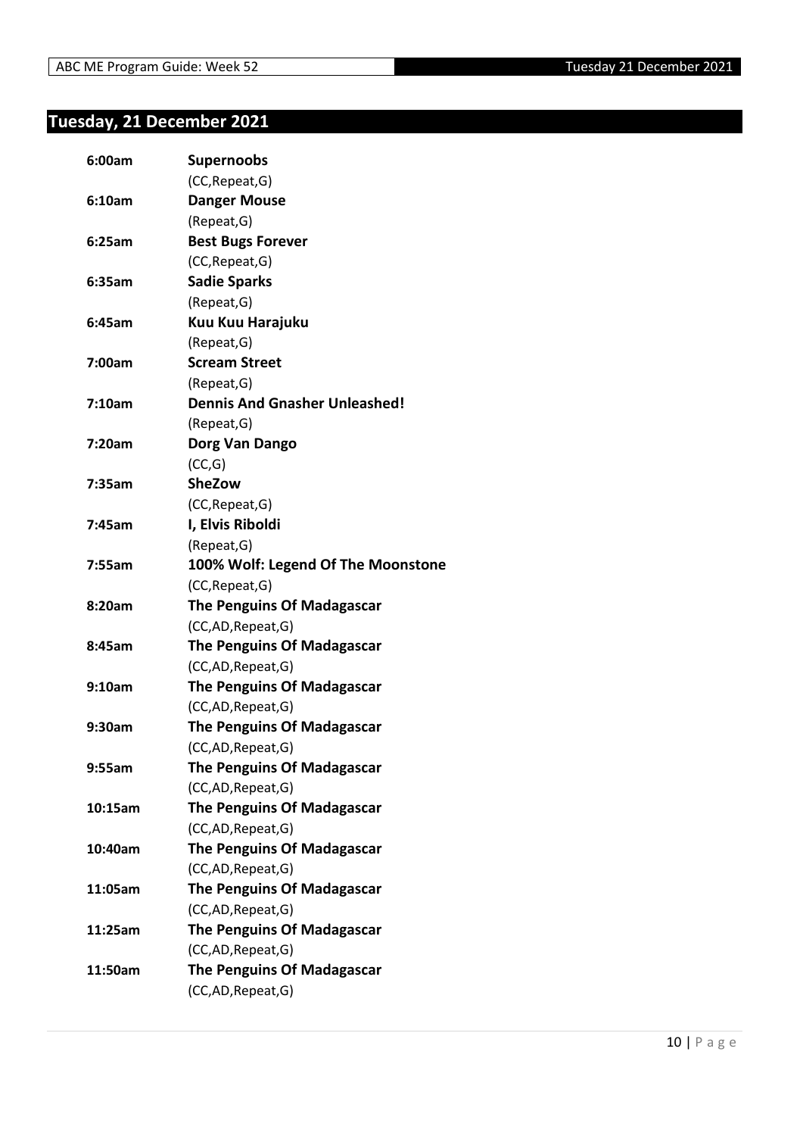#### <span id="page-9-0"></span>**Tuesday, 21 December 2021**

| 6:00am  | Supernoobs                           |
|---------|--------------------------------------|
|         | (CC, Repeat, G)                      |
| 6:10am  | <b>Danger Mouse</b>                  |
|         | (Repeat, G)                          |
| 6:25am  | <b>Best Bugs Forever</b>             |
|         | (CC, Repeat, G)                      |
| 6:35am  | <b>Sadie Sparks</b>                  |
|         | (Repeat, G)                          |
| 6:45am  | Kuu Kuu Harajuku                     |
|         | (Repeat, G)                          |
| 7:00am  | <b>Scream Street</b>                 |
|         | (Repeat, G)                          |
| 7:10am  | <b>Dennis And Gnasher Unleashed!</b> |
|         | (Repeat, G)                          |
| 7:20am  | Dorg Van Dango                       |
|         | (CC,G)                               |
| 7:35am  | <b>SheZow</b>                        |
|         | (CC, Repeat, G)                      |
| 7:45am  | I, Elvis Riboldi                     |
|         | (Repeat, G)                          |
| 7:55am  | 100% Wolf: Legend Of The Moonstone   |
|         | (CC, Repeat, G)                      |
| 8:20am  | The Penguins Of Madagascar           |
|         | (CC,AD, Repeat, G)                   |
| 8:45am  | <b>The Penguins Of Madagascar</b>    |
|         | (CC,AD, Repeat, G)                   |
| 9:10am  | The Penguins Of Madagascar           |
|         | (CC,AD, Repeat, G)                   |
| 9:30am  | <b>The Penguins Of Madagascar</b>    |
|         | (CC,AD, Repeat, G)                   |
| 9:55am  | <b>The Penguins Of Madagascar</b>    |
|         | (CC,AD,Repeat,G)                     |
| 10:15am | The Penguins Of Madagascar           |
|         | (CC,AD, Repeat, G)                   |
| 10:40am | <b>The Penguins Of Madagascar</b>    |
|         | (CC,AD, Repeat, G)                   |
| 11:05am | <b>The Penguins Of Madagascar</b>    |
|         | (CC,AD, Repeat, G)                   |
| 11:25am | <b>The Penguins Of Madagascar</b>    |
|         | (CC,AD, Repeat, G)                   |
| 11:50am | <b>The Penguins Of Madagascar</b>    |
|         | (CC,AD,Repeat,G)                     |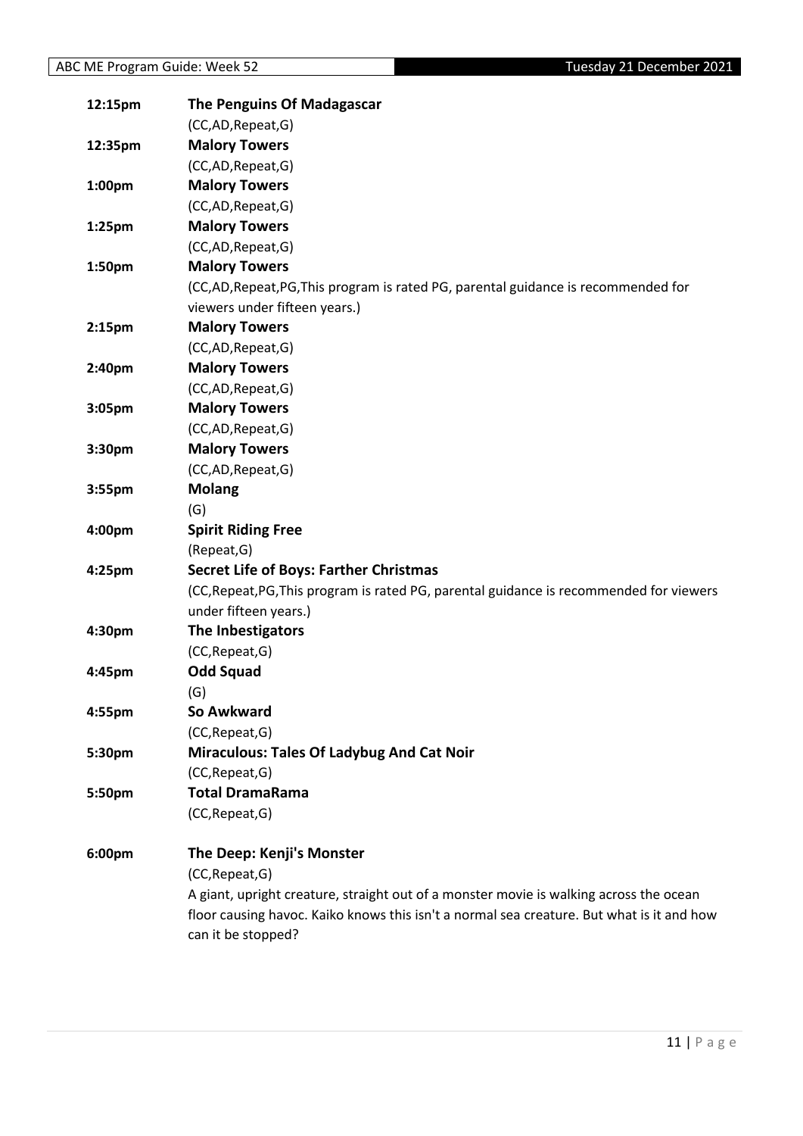| 12:15pm            | <b>The Penguins Of Madagascar</b>                                                         |
|--------------------|-------------------------------------------------------------------------------------------|
|                    | (CC,AD, Repeat, G)                                                                        |
| 12:35pm            | <b>Malory Towers</b>                                                                      |
|                    | (CC,AD,Repeat,G)                                                                          |
| 1:00pm             | <b>Malory Towers</b>                                                                      |
|                    | (CC,AD,Repeat,G)                                                                          |
| 1:25pm             | <b>Malory Towers</b>                                                                      |
|                    | (CC,AD,Repeat,G)                                                                          |
| 1:50pm             | <b>Malory Towers</b>                                                                      |
|                    | (CC,AD,Repeat,PG,This program is rated PG, parental guidance is recommended for           |
|                    | viewers under fifteen years.)                                                             |
| 2:15 <sub>pm</sub> | <b>Malory Towers</b>                                                                      |
|                    | (CC,AD,Repeat,G)                                                                          |
| 2:40pm             | <b>Malory Towers</b>                                                                      |
|                    | (CC,AD,Repeat,G)                                                                          |
| 3:05pm             | <b>Malory Towers</b>                                                                      |
|                    | (CC,AD,Repeat,G)                                                                          |
| 3:30pm             | <b>Malory Towers</b>                                                                      |
|                    | (CC,AD,Repeat,G)                                                                          |
| 3:55pm             | <b>Molang</b>                                                                             |
|                    | (G)                                                                                       |
| 4:00pm             | <b>Spirit Riding Free</b>                                                                 |
|                    | (Repeat, G)                                                                               |
| 4:25pm             | <b>Secret Life of Boys: Farther Christmas</b>                                             |
|                    | (CC, Repeat, PG, This program is rated PG, parental guidance is recommended for viewers   |
|                    | under fifteen years.)                                                                     |
| 4:30pm             | The Inbestigators                                                                         |
|                    | (CC, Repeat, G)                                                                           |
| 4:45pm             | <b>Odd Squad</b>                                                                          |
|                    | (G)                                                                                       |
| 4:55pm             | So Awkward                                                                                |
|                    | (CC, Repeat, G)                                                                           |
| 5:30pm             | <b>Miraculous: Tales Of Ladybug And Cat Noir</b>                                          |
|                    | (CC, Repeat, G)                                                                           |
| 5:50pm             | <b>Total DramaRama</b>                                                                    |
|                    | (CC, Repeat, G)                                                                           |
| 6:00pm             | The Deep: Kenji's Monster                                                                 |
|                    | (CC, Repeat, G)                                                                           |
|                    | A giant, upright creature, straight out of a monster movie is walking across the ocean    |
|                    | floor causing havoc. Kaiko knows this isn't a normal sea creature. But what is it and how |
|                    | can it be stopped?                                                                        |
|                    |                                                                                           |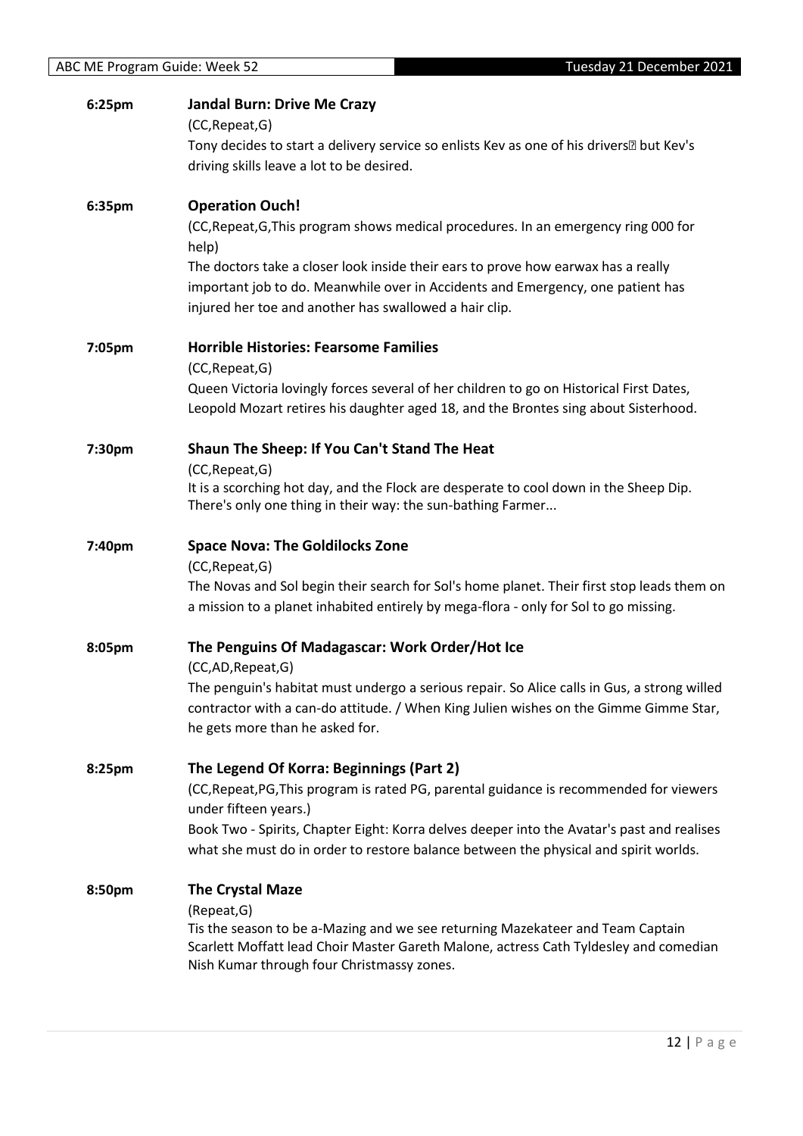| 6:25pm | <b>Jandal Burn: Drive Me Crazy</b><br>(CC, Repeat, G)<br>Tony decides to start a delivery service so enlists Kev as one of his driversbut Kev's<br>driving skills leave a lot to be desired.                                                                                                                                                             |
|--------|----------------------------------------------------------------------------------------------------------------------------------------------------------------------------------------------------------------------------------------------------------------------------------------------------------------------------------------------------------|
| 6:35pm | <b>Operation Ouch!</b><br>(CC, Repeat, G, This program shows medical procedures. In an emergency ring 000 for<br>help)<br>The doctors take a closer look inside their ears to prove how earwax has a really<br>important job to do. Meanwhile over in Accidents and Emergency, one patient has<br>injured her toe and another has swallowed a hair clip. |
| 7:05pm | <b>Horrible Histories: Fearsome Families</b><br>(CC, Repeat, G)<br>Queen Victoria lovingly forces several of her children to go on Historical First Dates,<br>Leopold Mozart retires his daughter aged 18, and the Brontes sing about Sisterhood.                                                                                                        |
| 7:30pm | Shaun The Sheep: If You Can't Stand The Heat<br>(CC, Repeat, G)<br>It is a scorching hot day, and the Flock are desperate to cool down in the Sheep Dip.<br>There's only one thing in their way: the sun-bathing Farmer                                                                                                                                  |
| 7:40pm | <b>Space Nova: The Goldilocks Zone</b><br>(CC, Repeat, G)<br>The Novas and Sol begin their search for Sol's home planet. Their first stop leads them on<br>a mission to a planet inhabited entirely by mega-flora - only for Sol to go missing.                                                                                                          |
| 8:05pm | The Penguins Of Madagascar: Work Order/Hot Ice<br>(CC,AD,Repeat,G)<br>The penguin's habitat must undergo a serious repair. So Alice calls in Gus, a strong willed<br>contractor with a can-do attitude. / When King Julien wishes on the Gimme Gimme Star,<br>he gets more than he asked for.                                                            |
| 8:25pm | The Legend Of Korra: Beginnings (Part 2)<br>(CC, Repeat, PG, This program is rated PG, parental guidance is recommended for viewers<br>under fifteen years.)<br>Book Two - Spirits, Chapter Eight: Korra delves deeper into the Avatar's past and realises<br>what she must do in order to restore balance between the physical and spirit worlds.       |
| 8:50pm | <b>The Crystal Maze</b><br>(Repeat, G)<br>Tis the season to be a-Mazing and we see returning Mazekateer and Team Captain<br>Scarlett Moffatt lead Choir Master Gareth Malone, actress Cath Tyldesley and comedian<br>Nish Kumar through four Christmassy zones.                                                                                          |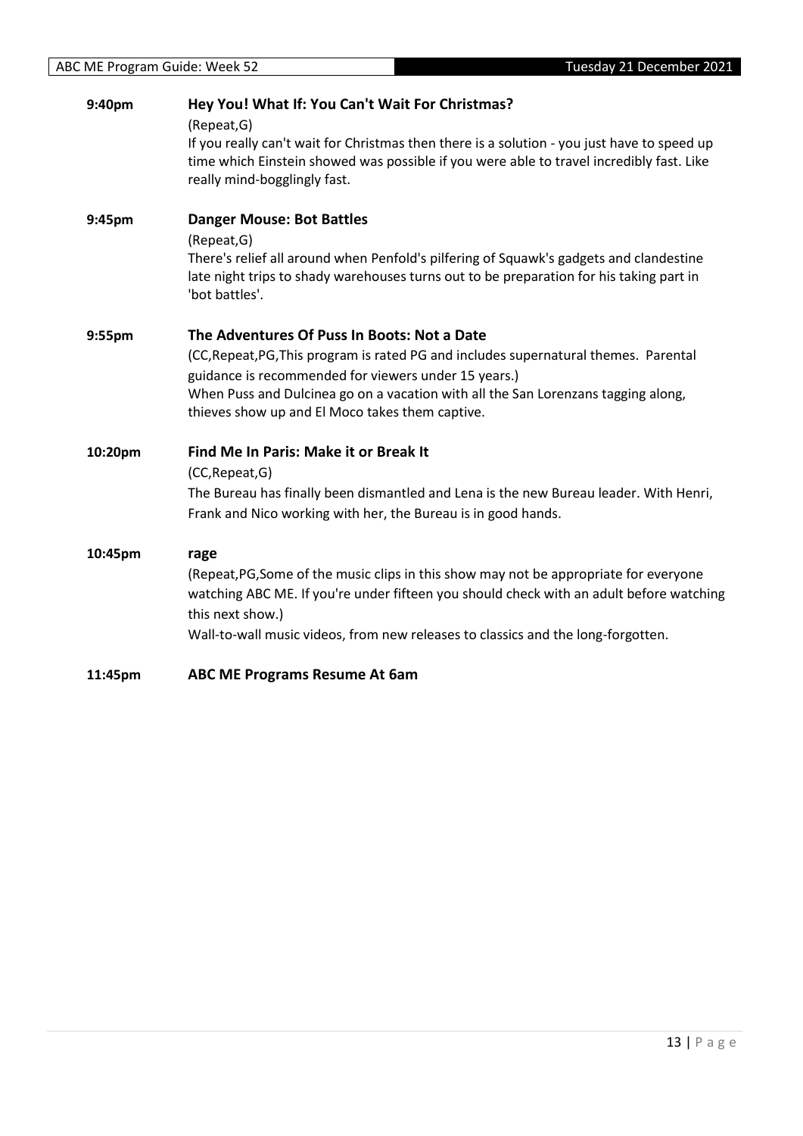| 9:40pm  | Hey You! What If: You Can't Wait For Christmas?<br>(Repeat, G)<br>If you really can't wait for Christmas then there is a solution - you just have to speed up<br>time which Einstein showed was possible if you were able to travel incredibly fast. Like<br>really mind-bogglingly fast.                                           |
|---------|-------------------------------------------------------------------------------------------------------------------------------------------------------------------------------------------------------------------------------------------------------------------------------------------------------------------------------------|
| 9:45pm  | <b>Danger Mouse: Bot Battles</b><br>(Repeat, G)<br>There's relief all around when Penfold's pilfering of Squawk's gadgets and clandestine<br>late night trips to shady warehouses turns out to be preparation for his taking part in<br>'bot battles'.                                                                              |
| 9:55pm  | The Adventures Of Puss In Boots: Not a Date<br>(CC, Repeat, PG, This program is rated PG and includes supernatural themes. Parental<br>guidance is recommended for viewers under 15 years.)<br>When Puss and Dulcinea go on a vacation with all the San Lorenzans tagging along,<br>thieves show up and El Moco takes them captive. |
| 10:20pm | <b>Find Me In Paris: Make it or Break It</b><br>(CC, Repeat, G)<br>The Bureau has finally been dismantled and Lena is the new Bureau leader. With Henri,<br>Frank and Nico working with her, the Bureau is in good hands.                                                                                                           |
| 10:45pm | rage<br>(Repeat, PG, Some of the music clips in this show may not be appropriate for everyone<br>watching ABC ME. If you're under fifteen you should check with an adult before watching<br>this next show.)<br>Wall-to-wall music videos, from new releases to classics and the long-forgotten.                                    |
| 11:45pm | <b>ABC ME Programs Resume At 6am</b>                                                                                                                                                                                                                                                                                                |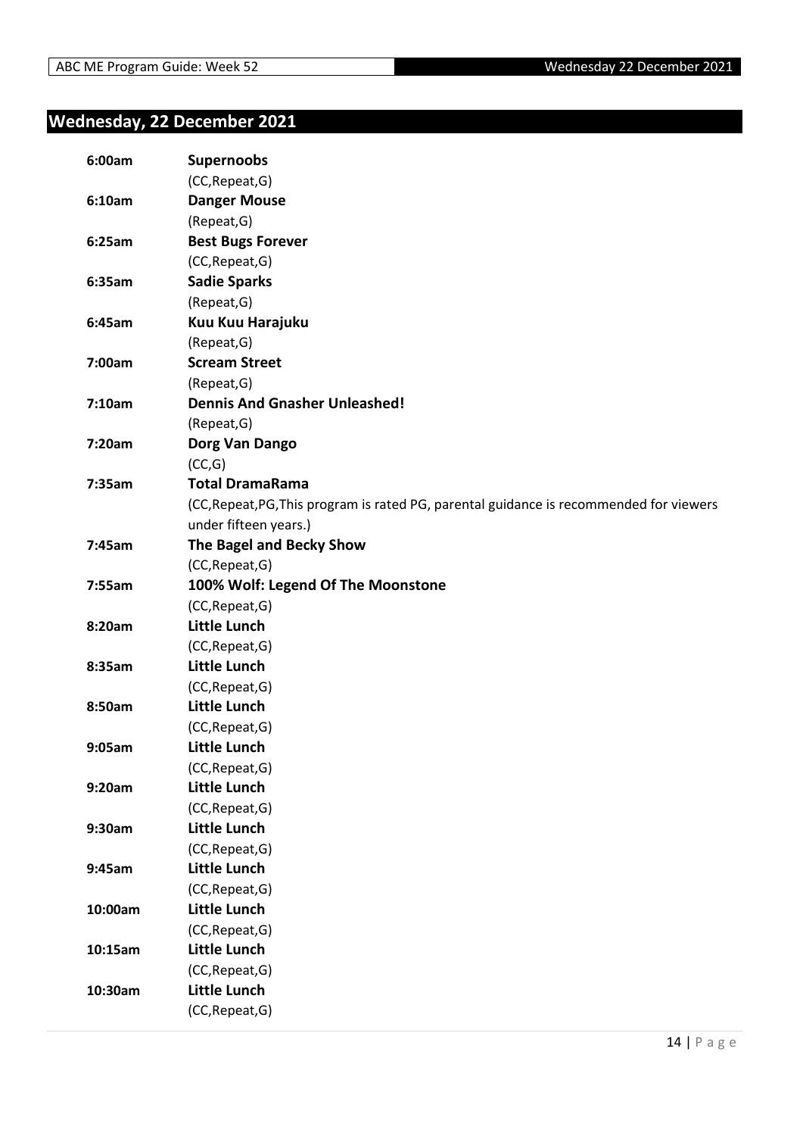#### <span id="page-13-0"></span>**Wednesday, 22 December 2021**

| 6:00am  | <b>Supernoobs</b>                                                                       |
|---------|-----------------------------------------------------------------------------------------|
|         | (CC, Repeat, G)                                                                         |
| 6:10am  | <b>Danger Mouse</b>                                                                     |
|         | (Repeat, G)                                                                             |
| 6:25am  | <b>Best Bugs Forever</b>                                                                |
|         | (CC, Repeat, G)                                                                         |
| 6:35am  | <b>Sadie Sparks</b>                                                                     |
|         | (Repeat, G)                                                                             |
| 6:45am  | Kuu Kuu Harajuku                                                                        |
|         | (Repeat, G)                                                                             |
| 7:00am  | <b>Scream Street</b>                                                                    |
|         | (Repeat, G)                                                                             |
| 7:10am  | <b>Dennis And Gnasher Unleashed!</b>                                                    |
|         | (Repeat, G)                                                                             |
| 7:20am  | Dorg Van Dango                                                                          |
|         | (CC,G)                                                                                  |
| 7:35am  | <b>Total DramaRama</b>                                                                  |
|         | (CC, Repeat, PG, This program is rated PG, parental guidance is recommended for viewers |
|         | under fifteen years.)                                                                   |
| 7:45am  | The Bagel and Becky Show                                                                |
|         | (CC, Repeat, G)                                                                         |
| 7:55am  | 100% Wolf: Legend Of The Moonstone                                                      |
|         | (CC, Repeat, G)                                                                         |
| 8:20am  | <b>Little Lunch</b>                                                                     |
|         | (CC, Repeat, G)                                                                         |
| 8:35am  | <b>Little Lunch</b>                                                                     |
|         | (CC, Repeat, G)                                                                         |
| 8:50am  | <b>Little Lunch</b>                                                                     |
|         | (CC, Repeat, G)                                                                         |
| 9:05am  | <b>Little Lunch</b>                                                                     |
|         | (CC, Repeat, G)                                                                         |
| 9:20am  | <b>Little Lunch</b>                                                                     |
|         | (CC, Repeat, G)                                                                         |
| 9:30am  | <b>Little Lunch</b>                                                                     |
|         | (CC, Repeat, G)                                                                         |
| 9:45am  | <b>Little Lunch</b>                                                                     |
|         | (CC, Repeat, G)                                                                         |
| 10:00am | <b>Little Lunch</b>                                                                     |
|         | (CC, Repeat, G)                                                                         |
| 10:15am | <b>Little Lunch</b>                                                                     |
|         | (CC, Repeat, G)                                                                         |
| 10:30am | <b>Little Lunch</b>                                                                     |
|         | (CC, Repeat, G)                                                                         |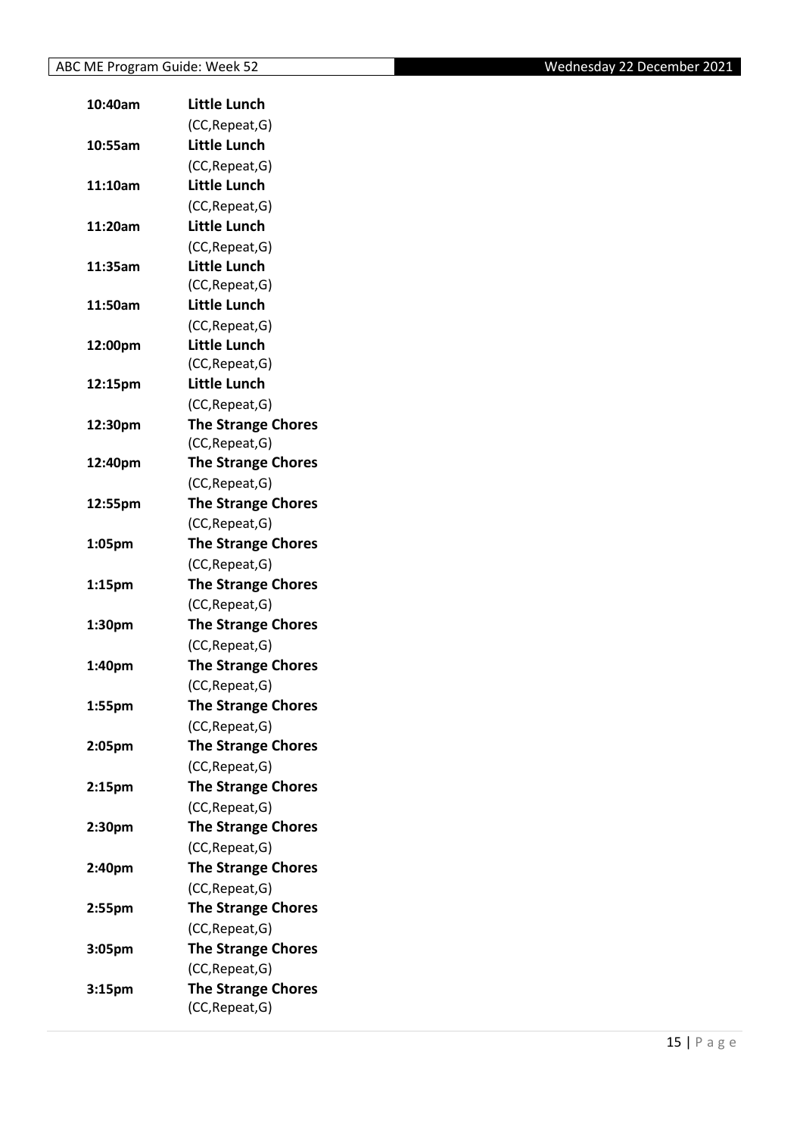| 10:40am            | <b>Little Lunch</b>       |
|--------------------|---------------------------|
|                    | (CC, Repeat, G)           |
| 10:55am            | Little Lunch              |
|                    | (CC, Repeat, G)           |
| 11:10am            | Little Lunch              |
|                    | (CC, Repeat, G)           |
| 11:20am            | <b>Little Lunch</b>       |
|                    | (CC, Repeat, G)           |
| 11:35am            | Little Lunch              |
|                    | (CC, Repeat, G)           |
| 11:50am            | <b>Little Lunch</b>       |
|                    | (CC, Repeat, G)           |
| 12:00pm            | Little Lunch              |
|                    | (CC, Repeat, G)           |
| 12:15pm            | <b>Little Lunch</b>       |
|                    | (CC, Repeat, G)           |
| 12:30pm            | <b>The Strange Chores</b> |
|                    | (CC, Repeat, G)           |
| 12:40pm            | <b>The Strange Chores</b> |
|                    | (CC, Repeat, G)           |
| 12:55pm            | <b>The Strange Chores</b> |
|                    | (CC, Repeat, G)           |
| 1:05pm             | <b>The Strange Chores</b> |
|                    | (CC, Repeat, G)           |
| 1:15pm             | <b>The Strange Chores</b> |
|                    | (CC, Repeat, G)           |
| 1:30pm             | <b>The Strange Chores</b> |
|                    | (CC, Repeat, G)           |
| 1:40pm             | <b>The Strange Chores</b> |
|                    | (CC, Repeat, G)           |
| 1:55pm             | <b>The Strange Chores</b> |
|                    | (CC, Repeat, G)           |
| 2:05pm             | <b>The Strange Chores</b> |
|                    | (CC, Repeat, G)           |
| 2:15 <sub>pm</sub> | <b>The Strange Chores</b> |
|                    | (CC, Repeat, G)           |
| 2:30pm             | <b>The Strange Chores</b> |
|                    | (CC, Repeat, G)           |
| 2:40pm             | <b>The Strange Chores</b> |
|                    | (CC, Repeat, G)           |
| 2:55pm             | <b>The Strange Chores</b> |
|                    | (CC, Repeat, G)           |
| 3:05pm             | <b>The Strange Chores</b> |
|                    | (CC, Repeat, G)           |
| 3:15pm             | <b>The Strange Chores</b> |
|                    | (CC, Repeat, G)           |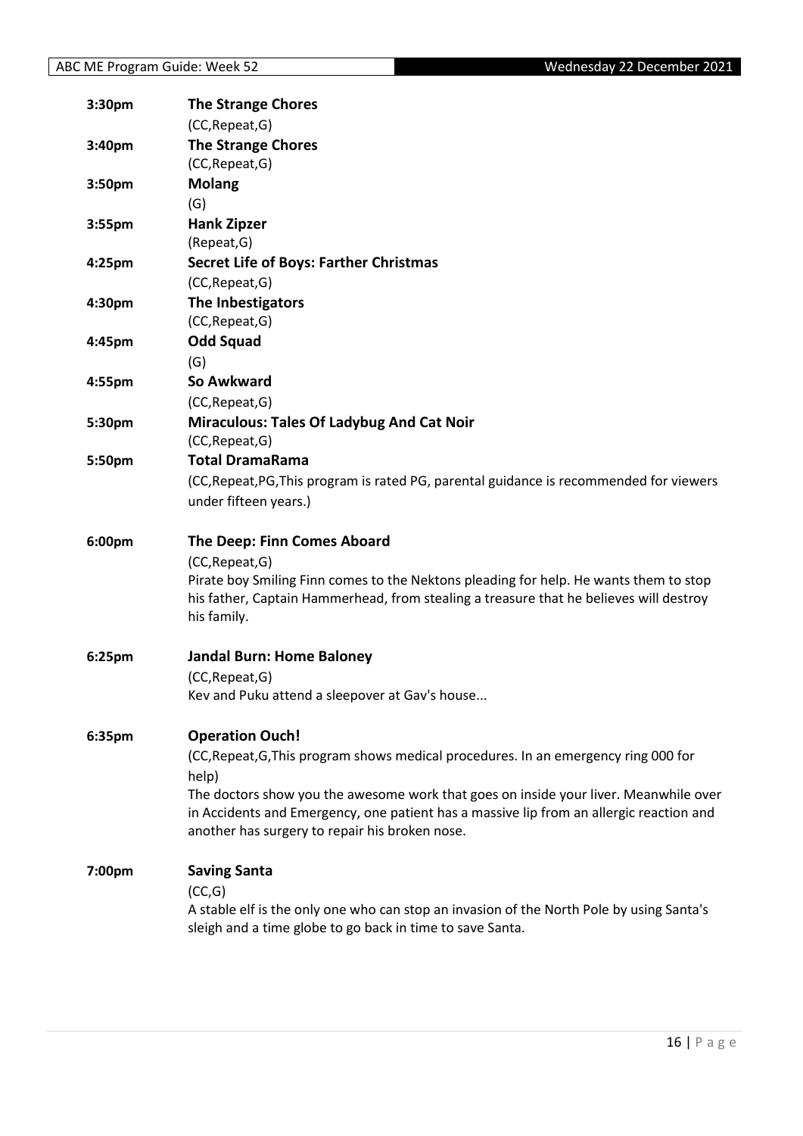| 3:30pm | <b>The Strange Chores</b>                                                                                                                 |
|--------|-------------------------------------------------------------------------------------------------------------------------------------------|
|        | (CC, Repeat, G)                                                                                                                           |
| 3:40pm | <b>The Strange Chores</b>                                                                                                                 |
|        | (CC, Repeat, G)                                                                                                                           |
| 3:50pm | <b>Molang</b>                                                                                                                             |
|        | (G)                                                                                                                                       |
| 3:55pm | <b>Hank Zipzer</b>                                                                                                                        |
|        | (Repeat, G)                                                                                                                               |
| 4:25pm | <b>Secret Life of Boys: Farther Christmas</b>                                                                                             |
|        | (CC, Repeat, G)                                                                                                                           |
| 4:30pm | The Inbestigators                                                                                                                         |
|        | (CC, Repeat, G)                                                                                                                           |
| 4:45pm | <b>Odd Squad</b>                                                                                                                          |
|        | (G)                                                                                                                                       |
| 4:55pm | So Awkward                                                                                                                                |
|        | (CC, Repeat, G)                                                                                                                           |
| 5:30pm | <b>Miraculous: Tales Of Ladybug And Cat Noir</b>                                                                                          |
|        | (CC, Repeat, G)                                                                                                                           |
| 5:50pm | <b>Total DramaRama</b>                                                                                                                    |
|        | (CC, Repeat, PG, This program is rated PG, parental guidance is recommended for viewers                                                   |
|        | under fifteen years.)                                                                                                                     |
|        |                                                                                                                                           |
|        |                                                                                                                                           |
| 6:00pm | <b>The Deep: Finn Comes Aboard</b>                                                                                                        |
|        | (CC, Repeat, G)                                                                                                                           |
|        | Pirate boy Smiling Finn comes to the Nektons pleading for help. He wants them to stop                                                     |
|        | his father, Captain Hammerhead, from stealing a treasure that he believes will destroy<br>his family.                                     |
|        |                                                                                                                                           |
| 6:25pm | <b>Jandal Burn: Home Baloney</b>                                                                                                          |
|        | (CC, Repeat, G)                                                                                                                           |
|        | Kev and Puku attend a sleepover at Gav's house                                                                                            |
|        |                                                                                                                                           |
| 6:35pm | <b>Operation Ouch!</b>                                                                                                                    |
|        | (CC, Repeat, G, This program shows medical procedures. In an emergency ring 000 for                                                       |
|        | help)                                                                                                                                     |
|        | The doctors show you the awesome work that goes on inside your liver. Meanwhile over                                                      |
|        | in Accidents and Emergency, one patient has a massive lip from an allergic reaction and<br>another has surgery to repair his broken nose. |
|        |                                                                                                                                           |
| 7:00pm | <b>Saving Santa</b>                                                                                                                       |
|        | (CC,G)                                                                                                                                    |
|        | A stable elf is the only one who can stop an invasion of the North Pole by using Santa's                                                  |
|        | sleigh and a time globe to go back in time to save Santa.                                                                                 |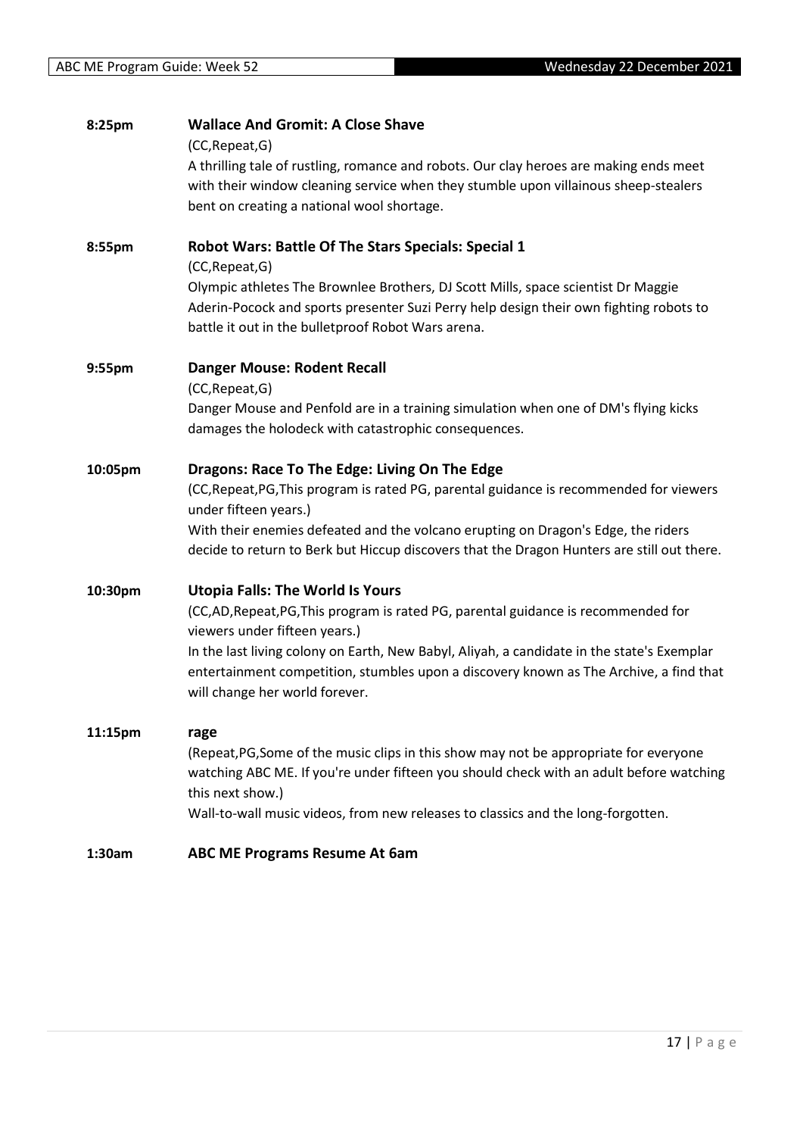| 8:25pm  | <b>Wallace And Gromit: A Close Shave</b><br>(CC, Repeat, G)<br>A thrilling tale of rustling, romance and robots. Our clay heroes are making ends meet<br>with their window cleaning service when they stumble upon villainous sheep-stealers<br>bent on creating a national wool shortage.                                                                                            |
|---------|---------------------------------------------------------------------------------------------------------------------------------------------------------------------------------------------------------------------------------------------------------------------------------------------------------------------------------------------------------------------------------------|
| 8:55pm  | <b>Robot Wars: Battle Of The Stars Specials: Special 1</b><br>(CC, Repeat, G)<br>Olympic athletes The Brownlee Brothers, DJ Scott Mills, space scientist Dr Maggie<br>Aderin-Pocock and sports presenter Suzi Perry help design their own fighting robots to<br>battle it out in the bulletproof Robot Wars arena.                                                                    |
| 9:55pm  | <b>Danger Mouse: Rodent Recall</b><br>(CC, Repeat, G)<br>Danger Mouse and Penfold are in a training simulation when one of DM's flying kicks<br>damages the holodeck with catastrophic consequences.                                                                                                                                                                                  |
| 10:05pm | Dragons: Race To The Edge: Living On The Edge<br>(CC, Repeat, PG, This program is rated PG, parental guidance is recommended for viewers<br>under fifteen years.)<br>With their enemies defeated and the volcano erupting on Dragon's Edge, the riders<br>decide to return to Berk but Hiccup discovers that the Dragon Hunters are still out there.                                  |
| 10:30pm | <b>Utopia Falls: The World Is Yours</b><br>(CC,AD,Repeat,PG,This program is rated PG, parental guidance is recommended for<br>viewers under fifteen years.)<br>In the last living colony on Earth, New Babyl, Aliyah, a candidate in the state's Exemplar<br>entertainment competition, stumbles upon a discovery known as The Archive, a find that<br>will change her world forever. |
| 11:15pm | rage<br>(Repeat, PG, Some of the music clips in this show may not be appropriate for everyone<br>watching ABC ME. If you're under fifteen you should check with an adult before watching<br>this next show.)<br>Wall-to-wall music videos, from new releases to classics and the long-forgotten.                                                                                      |
| 1:30am  | <b>ABC ME Programs Resume At 6am</b>                                                                                                                                                                                                                                                                                                                                                  |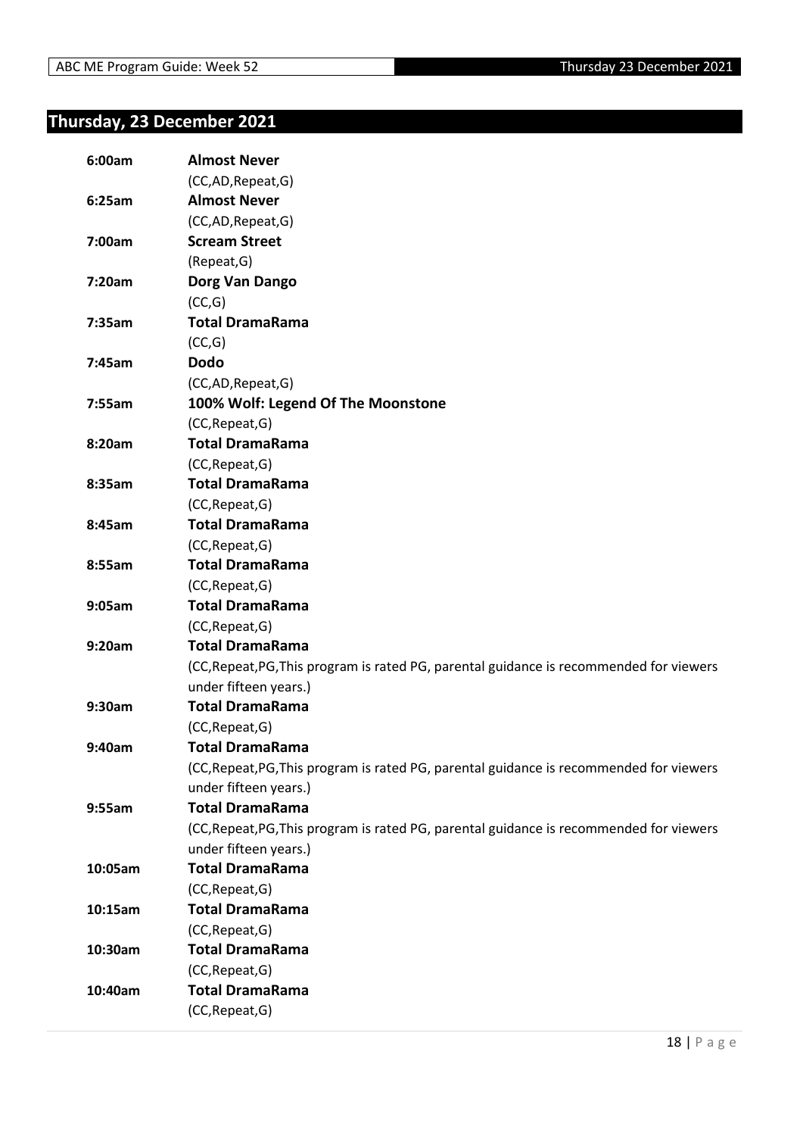#### <span id="page-17-0"></span>**Thursday, 23 December 2021**

| 6:00am  | <b>Almost Never</b>                                                                     |
|---------|-----------------------------------------------------------------------------------------|
|         | (CC,AD,Repeat,G)                                                                        |
| 6:25am  | <b>Almost Never</b>                                                                     |
|         | (CC,AD,Repeat,G)                                                                        |
| 7:00am  | <b>Scream Street</b>                                                                    |
|         | (Repeat, G)                                                                             |
| 7:20am  | Dorg Van Dango                                                                          |
|         | (CC,G)                                                                                  |
| 7:35am  | <b>Total DramaRama</b>                                                                  |
|         | (CC,G)                                                                                  |
| 7:45am  | <b>Dodo</b>                                                                             |
|         | (CC,AD, Repeat, G)                                                                      |
| 7:55am  | 100% Wolf: Legend Of The Moonstone                                                      |
|         | (CC, Repeat, G)                                                                         |
| 8:20am  | <b>Total DramaRama</b>                                                                  |
|         | (CC, Repeat, G)                                                                         |
| 8:35am  | <b>Total DramaRama</b>                                                                  |
|         | (CC, Repeat, G)                                                                         |
| 8:45am  | <b>Total DramaRama</b>                                                                  |
|         | (CC, Repeat, G)                                                                         |
| 8:55am  | <b>Total DramaRama</b>                                                                  |
|         | (CC, Repeat, G)                                                                         |
| 9:05am  | <b>Total DramaRama</b>                                                                  |
|         | (CC, Repeat, G)                                                                         |
| 9:20am  | <b>Total DramaRama</b>                                                                  |
|         | (CC, Repeat, PG, This program is rated PG, parental guidance is recommended for viewers |
|         | under fifteen years.)                                                                   |
| 9:30am  | <b>Total DramaRama</b>                                                                  |
|         | (CC, Repeat, G)                                                                         |
| 9:40am  | <b>Total DramaRama</b>                                                                  |
|         | (CC, Repeat, PG, This program is rated PG, parental guidance is recommended for viewers |
|         | under fifteen years.)                                                                   |
| 9:55am  | <b>Total DramaRama</b>                                                                  |
|         | (CC, Repeat, PG, This program is rated PG, parental guidance is recommended for viewers |
|         | under fifteen years.)                                                                   |
| 10:05am | <b>Total DramaRama</b>                                                                  |
|         | (CC, Repeat, G)                                                                         |
| 10:15am | <b>Total DramaRama</b>                                                                  |
|         | (CC, Repeat, G)                                                                         |
| 10:30am | <b>Total DramaRama</b>                                                                  |
|         | (CC, Repeat, G)                                                                         |
| 10:40am | <b>Total DramaRama</b>                                                                  |
|         | (CC, Repeat, G)                                                                         |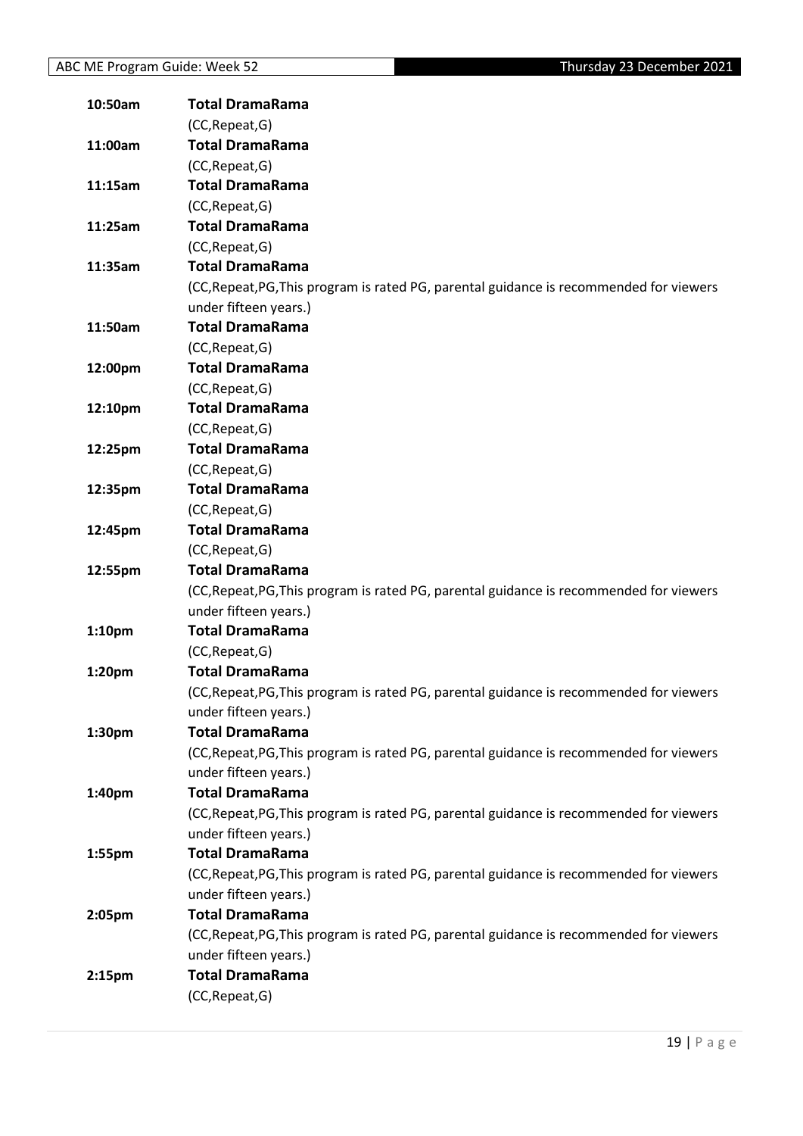| 10:50am            | <b>Total DramaRama</b>                                                                  |
|--------------------|-----------------------------------------------------------------------------------------|
|                    | (CC, Repeat, G)                                                                         |
| 11:00am            | <b>Total DramaRama</b>                                                                  |
|                    | (CC, Repeat, G)                                                                         |
| 11:15am            | <b>Total DramaRama</b>                                                                  |
|                    | (CC, Repeat, G)                                                                         |
| 11:25am            | <b>Total DramaRama</b>                                                                  |
|                    | (CC, Repeat, G)                                                                         |
| 11:35am            | <b>Total DramaRama</b>                                                                  |
|                    | (CC, Repeat, PG, This program is rated PG, parental guidance is recommended for viewers |
|                    | under fifteen years.)                                                                   |
| 11:50am            | <b>Total DramaRama</b>                                                                  |
|                    | (CC, Repeat, G)                                                                         |
| 12:00pm            | <b>Total DramaRama</b>                                                                  |
|                    | (CC, Repeat, G)                                                                         |
| 12:10pm            | <b>Total DramaRama</b>                                                                  |
|                    | (CC, Repeat, G)                                                                         |
| 12:25pm            | <b>Total DramaRama</b>                                                                  |
|                    | (CC, Repeat, G)                                                                         |
| 12:35pm            | <b>Total DramaRama</b>                                                                  |
|                    | (CC, Repeat, G)                                                                         |
| 12:45pm            | <b>Total DramaRama</b>                                                                  |
|                    | (CC, Repeat, G)                                                                         |
| 12:55pm            | <b>Total DramaRama</b>                                                                  |
|                    | (CC, Repeat, PG, This program is rated PG, parental guidance is recommended for viewers |
|                    | under fifteen years.)                                                                   |
| 1:10 <sub>pm</sub> | <b>Total DramaRama</b>                                                                  |
|                    | (CC, Repeat, G)                                                                         |
| 1:20 <sub>pm</sub> | <b>Total DramaRama</b>                                                                  |
|                    | (CC, Repeat, PG, This program is rated PG, parental guidance is recommended for viewers |
|                    | under fifteen years.)                                                                   |
| 1:30 <sub>pm</sub> | <b>Total DramaRama</b>                                                                  |
|                    | (CC, Repeat, PG, This program is rated PG, parental guidance is recommended for viewers |
|                    | under fifteen years.)                                                                   |
| 1:40pm             | <b>Total DramaRama</b>                                                                  |
|                    | (CC, Repeat, PG, This program is rated PG, parental guidance is recommended for viewers |
|                    | under fifteen years.)                                                                   |
| 1:55pm             | <b>Total DramaRama</b>                                                                  |
|                    | (CC, Repeat, PG, This program is rated PG, parental guidance is recommended for viewers |
|                    | under fifteen years.)                                                                   |
| 2:05pm             | <b>Total DramaRama</b>                                                                  |
|                    | (CC, Repeat, PG, This program is rated PG, parental guidance is recommended for viewers |
|                    | under fifteen years.)                                                                   |
| 2:15 <sub>pm</sub> | <b>Total DramaRama</b>                                                                  |
|                    | (CC, Repeat, G)                                                                         |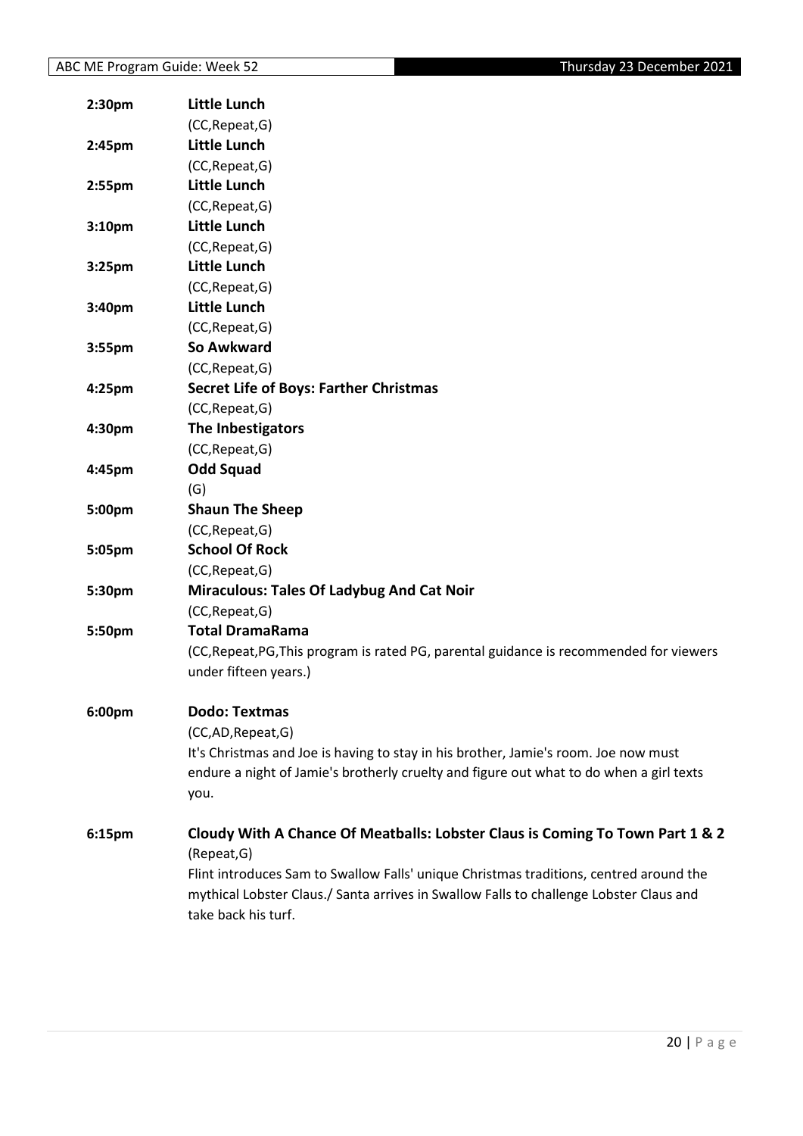| 2:30 <sub>pm</sub> | <b>Little Lunch</b>                                                                                           |
|--------------------|---------------------------------------------------------------------------------------------------------------|
|                    | (CC, Repeat, G)                                                                                               |
| 2:45 <sub>pm</sub> | <b>Little Lunch</b>                                                                                           |
|                    | (CC, Repeat, G)                                                                                               |
| 2:55pm             | <b>Little Lunch</b>                                                                                           |
|                    | (CC, Repeat, G)                                                                                               |
| 3:10 <sub>pm</sub> | <b>Little Lunch</b>                                                                                           |
|                    | (CC, Repeat, G)                                                                                               |
| 3:25pm             | <b>Little Lunch</b>                                                                                           |
|                    | (CC, Repeat, G)                                                                                               |
| 3:40pm             | <b>Little Lunch</b>                                                                                           |
|                    | (CC, Repeat, G)                                                                                               |
| 3:55pm             | So Awkward                                                                                                    |
|                    | (CC, Repeat, G)                                                                                               |
| 4:25 <sub>pm</sub> | <b>Secret Life of Boys: Farther Christmas</b>                                                                 |
|                    | (CC, Repeat, G)                                                                                               |
| 4:30pm             | The Inbestigators                                                                                             |
|                    | (CC, Repeat, G)                                                                                               |
| 4:45pm             | <b>Odd Squad</b>                                                                                              |
|                    | (G)                                                                                                           |
| 5:00pm             | <b>Shaun The Sheep</b>                                                                                        |
|                    | (CC, Repeat, G)                                                                                               |
| 5:05pm             | <b>School Of Rock</b>                                                                                         |
|                    | (CC, Repeat, G)                                                                                               |
| 5:30pm             | <b>Miraculous: Tales Of Ladybug And Cat Noir</b>                                                              |
|                    | (CC, Repeat, G)                                                                                               |
| 5:50pm             | <b>Total DramaRama</b>                                                                                        |
|                    | (CC, Repeat, PG, This program is rated PG, parental guidance is recommended for viewers                       |
|                    | under fifteen years.)                                                                                         |
|                    |                                                                                                               |
| 6:00pm             | <b>Dodo: Textmas</b>                                                                                          |
|                    | (CC,AD,Repeat,G)                                                                                              |
|                    | It's Christmas and Joe is having to stay in his brother, Jamie's room. Joe now must                           |
|                    | endure a night of Jamie's brotherly cruelty and figure out what to do when a girl texts                       |
|                    | you.                                                                                                          |
|                    |                                                                                                               |
| 6:15pm             | Cloudy With A Chance Of Meatballs: Lobster Claus is Coming To Town Part 1 & 2                                 |
|                    | (Repeat, G)                                                                                                   |
|                    | Flint introduces Sam to Swallow Falls' unique Christmas traditions, centred around the                        |
|                    | mythical Lobster Claus./ Santa arrives in Swallow Falls to challenge Lobster Claus and<br>take back his turf. |
|                    |                                                                                                               |
|                    |                                                                                                               |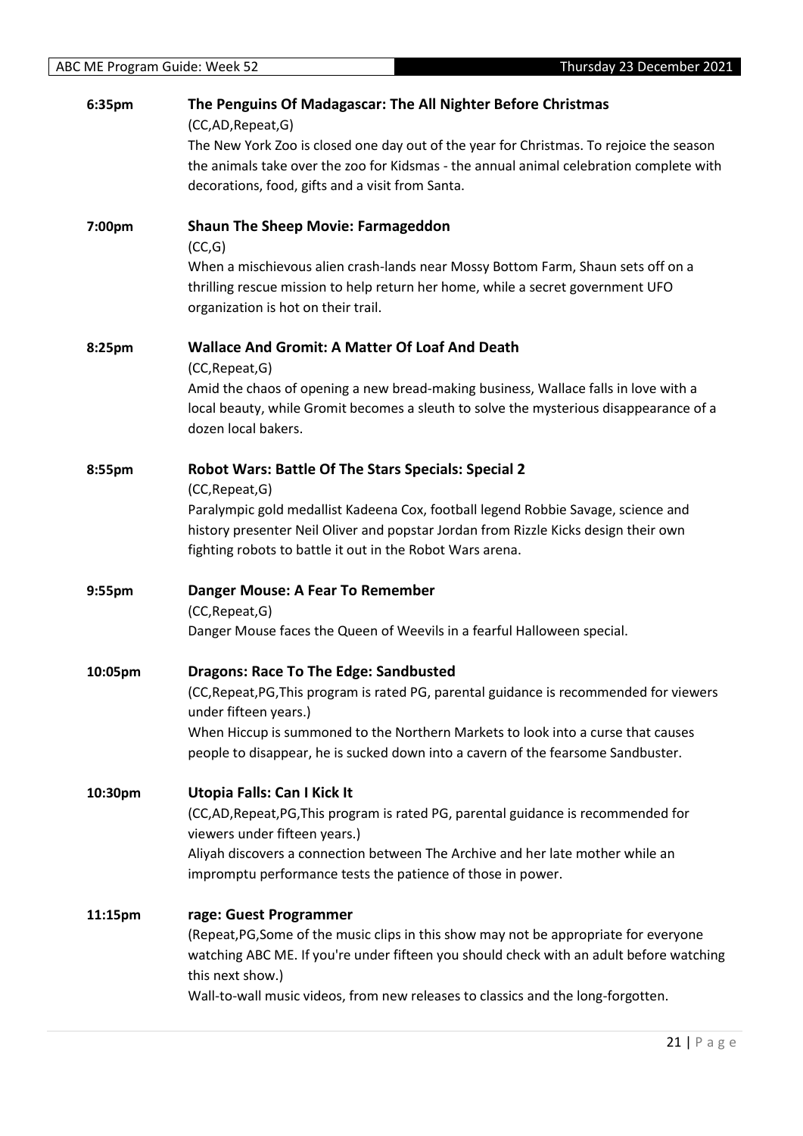| 6:35pm  | The Penguins Of Madagascar: The All Nighter Before Christmas                                                     |
|---------|------------------------------------------------------------------------------------------------------------------|
|         | (CC,AD,Repeat,G)<br>The New York Zoo is closed one day out of the year for Christmas. To rejoice the season      |
|         | the animals take over the zoo for Kidsmas - the annual animal celebration complete with                          |
|         | decorations, food, gifts and a visit from Santa.                                                                 |
|         |                                                                                                                  |
| 7:00pm  | <b>Shaun The Sheep Movie: Farmageddon</b>                                                                        |
|         | (CC,G)                                                                                                           |
|         | When a mischievous alien crash-lands near Mossy Bottom Farm, Shaun sets off on a                                 |
|         | thrilling rescue mission to help return her home, while a secret government UFO                                  |
|         | organization is hot on their trail.                                                                              |
| 8:25pm  | <b>Wallace And Gromit: A Matter Of Loaf And Death</b>                                                            |
|         | (CC, Repeat, G)                                                                                                  |
|         | Amid the chaos of opening a new bread-making business, Wallace falls in love with a                              |
|         | local beauty, while Gromit becomes a sleuth to solve the mysterious disappearance of a                           |
|         | dozen local bakers.                                                                                              |
| 8:55pm  | Robot Wars: Battle Of The Stars Specials: Special 2                                                              |
|         | (CC, Repeat, G)                                                                                                  |
|         | Paralympic gold medallist Kadeena Cox, football legend Robbie Savage, science and                                |
|         | history presenter Neil Oliver and popstar Jordan from Rizzle Kicks design their own                              |
|         | fighting robots to battle it out in the Robot Wars arena.                                                        |
| 9:55pm  | Danger Mouse: A Fear To Remember                                                                                 |
|         | (CC, Repeat, G)                                                                                                  |
|         | Danger Mouse faces the Queen of Weevils in a fearful Halloween special.                                          |
|         |                                                                                                                  |
| 10:05pm | <b>Dragons: Race To The Edge: Sandbusted</b>                                                                     |
|         | (CC, Repeat, PG, This program is rated PG, parental guidance is recommended for viewers<br>under fifteen years.) |
|         | When Hiccup is summoned to the Northern Markets to look into a curse that causes                                 |
|         | people to disappear, he is sucked down into a cavern of the fearsome Sandbuster.                                 |
|         |                                                                                                                  |
| 10:30pm | Utopia Falls: Can I Kick It                                                                                      |
|         | (CC,AD, Repeat, PG, This program is rated PG, parental guidance is recommended for                               |
|         | viewers under fifteen years.)                                                                                    |
|         | Aliyah discovers a connection between The Archive and her late mother while an                                   |
|         | impromptu performance tests the patience of those in power.                                                      |
| 11:15pm | rage: Guest Programmer                                                                                           |
|         | (Repeat, PG, Some of the music clips in this show may not be appropriate for everyone                            |
|         | watching ABC ME. If you're under fifteen you should check with an adult before watching                          |
|         | this next show.)                                                                                                 |
|         | Wall-to-wall music videos, from new releases to classics and the long-forgotten.                                 |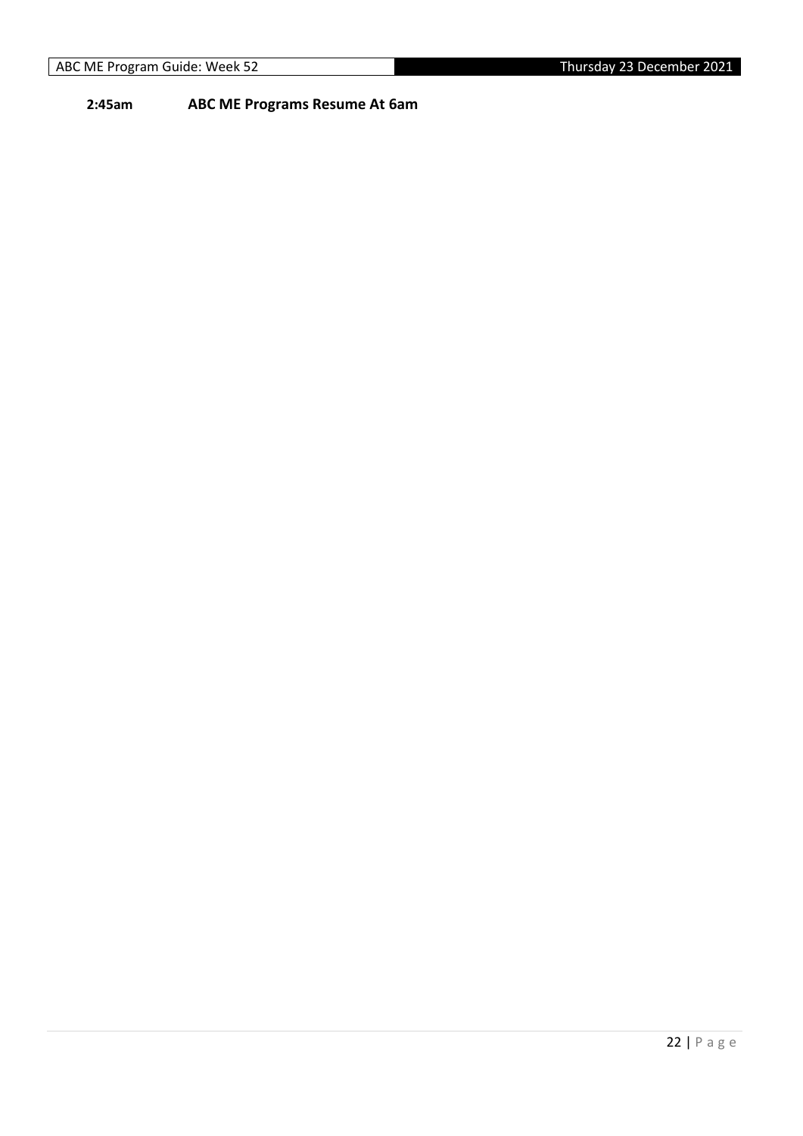**2:45am ABC ME Programs Resume At 6am**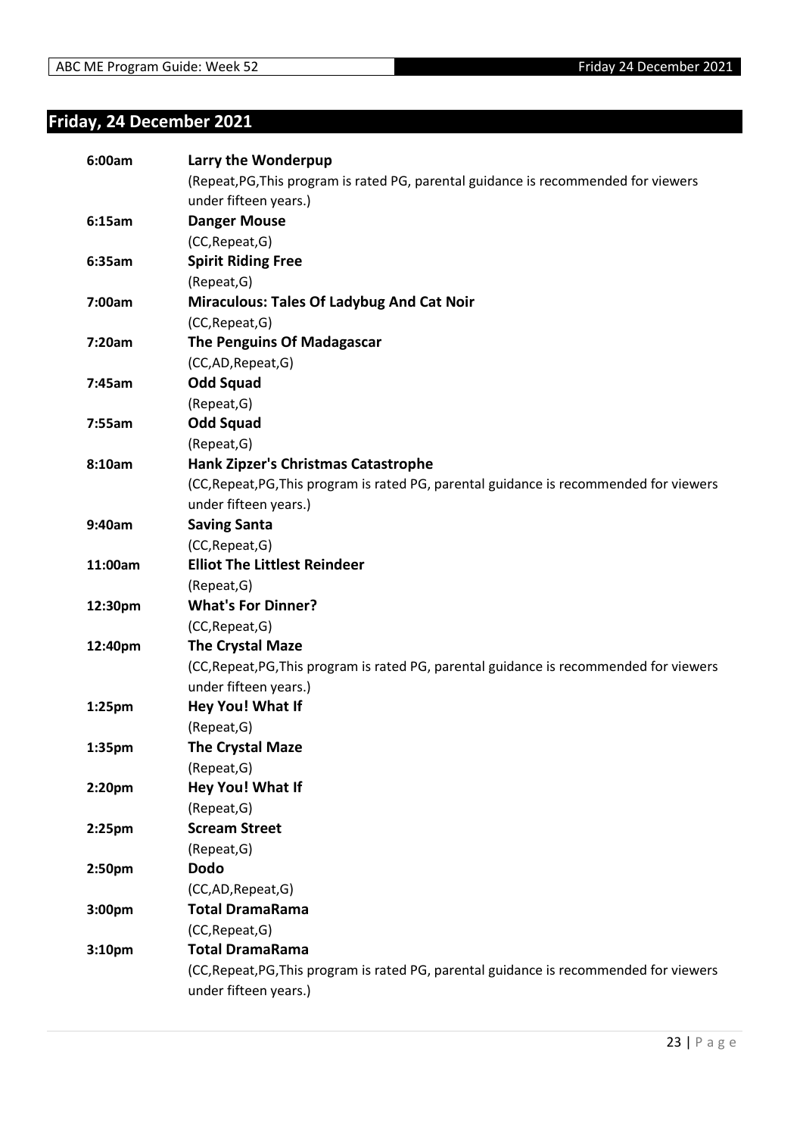# <span id="page-22-0"></span>**Friday, 24 December 2021**

| 6:00am             | Larry the Wonderpup                                                                     |
|--------------------|-----------------------------------------------------------------------------------------|
|                    | (Repeat, PG, This program is rated PG, parental guidance is recommended for viewers     |
|                    | under fifteen years.)                                                                   |
| 6:15am             | <b>Danger Mouse</b>                                                                     |
|                    | (CC, Repeat, G)                                                                         |
| 6:35am             | <b>Spirit Riding Free</b>                                                               |
|                    | (Repeat, G)                                                                             |
| 7:00am             | <b>Miraculous: Tales Of Ladybug And Cat Noir</b>                                        |
|                    | (CC, Repeat, G)                                                                         |
| 7:20am             | The Penguins Of Madagascar                                                              |
|                    | (CC,AD,Repeat,G)                                                                        |
| 7:45am             | <b>Odd Squad</b>                                                                        |
|                    | (Repeat, G)                                                                             |
| 7:55am             | <b>Odd Squad</b>                                                                        |
|                    | (Repeat, G)                                                                             |
| 8:10am             | <b>Hank Zipzer's Christmas Catastrophe</b>                                              |
|                    | (CC, Repeat, PG, This program is rated PG, parental guidance is recommended for viewers |
|                    | under fifteen years.)                                                                   |
| 9:40am             | <b>Saving Santa</b>                                                                     |
|                    | (CC, Repeat, G)                                                                         |
| 11:00am            | <b>Elliot The Littlest Reindeer</b>                                                     |
|                    | (Repeat, G)                                                                             |
| 12:30pm            | <b>What's For Dinner?</b>                                                               |
|                    | (CC, Repeat, G)                                                                         |
| 12:40pm            | <b>The Crystal Maze</b>                                                                 |
|                    | (CC, Repeat, PG, This program is rated PG, parental guidance is recommended for viewers |
|                    | under fifteen years.)                                                                   |
| 1:25pm             | Hey You! What If                                                                        |
|                    | (Repeat, G)                                                                             |
| 1:35pm             | <b>The Crystal Maze</b>                                                                 |
|                    | (Repeat, G)                                                                             |
| 2:20pm             | Hey You! What If                                                                        |
|                    | (Repeat, G)                                                                             |
| 2:25 <sub>pm</sub> | <b>Scream Street</b>                                                                    |
|                    | (Repeat, G)                                                                             |
| 2:50pm             | <b>Dodo</b>                                                                             |
|                    | (CC,AD,Repeat,G)                                                                        |
| 3:00pm             | <b>Total DramaRama</b>                                                                  |
|                    | (CC, Repeat, G)                                                                         |
| 3:10 <sub>pm</sub> | <b>Total DramaRama</b>                                                                  |
|                    | (CC, Repeat, PG, This program is rated PG, parental guidance is recommended for viewers |
|                    | under fifteen years.)                                                                   |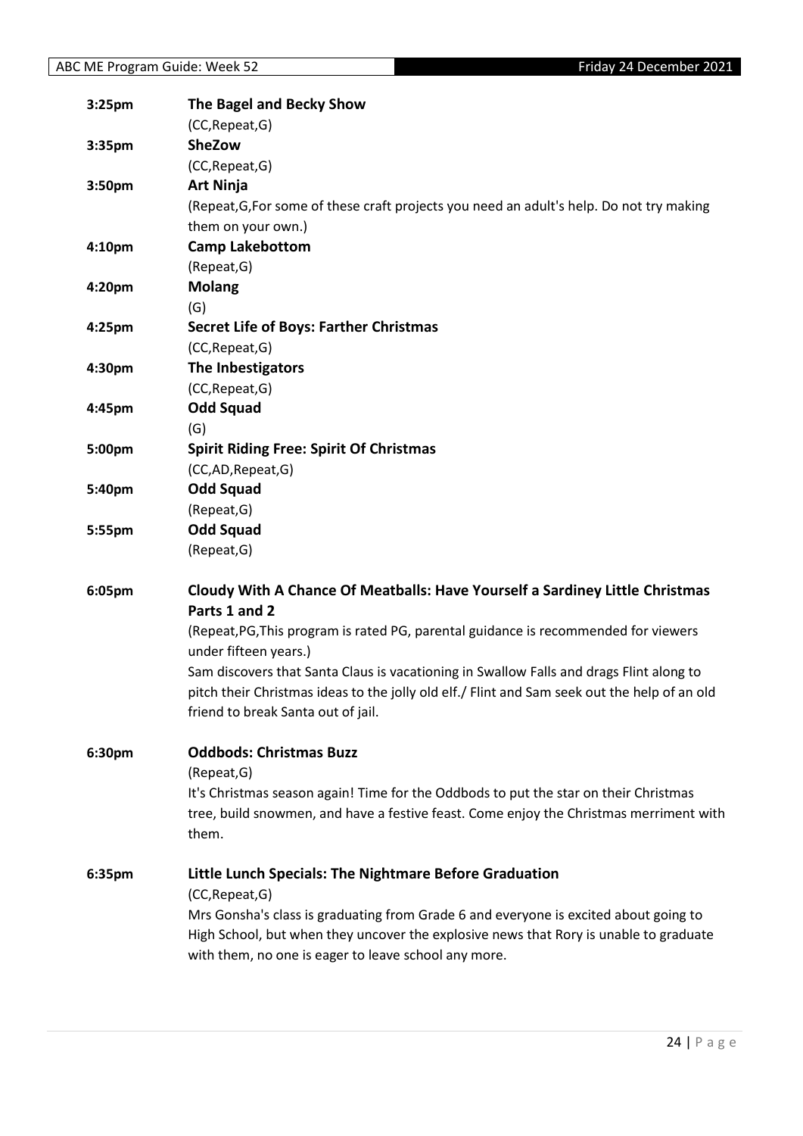| 3:25pm             | The Bagel and Becky Show                                                                     |
|--------------------|----------------------------------------------------------------------------------------------|
|                    | (CC, Repeat, G)                                                                              |
| 3:35pm             | <b>SheZow</b>                                                                                |
|                    | (CC, Repeat, G)                                                                              |
| 3:50pm             | <b>Art Ninja</b>                                                                             |
|                    | (Repeat, G, For some of these craft projects you need an adult's help. Do not try making     |
|                    | them on your own.)                                                                           |
| 4:10 <sub>pm</sub> | <b>Camp Lakebottom</b>                                                                       |
|                    | (Repeat, G)                                                                                  |
| 4:20pm             | <b>Molang</b>                                                                                |
|                    | (G)                                                                                          |
| 4:25 <sub>pm</sub> | <b>Secret Life of Boys: Farther Christmas</b>                                                |
|                    | (CC, Repeat, G)                                                                              |
| 4:30pm             | The Inbestigators                                                                            |
|                    | (CC, Repeat, G)                                                                              |
| 4:45pm             | <b>Odd Squad</b>                                                                             |
|                    | (G)                                                                                          |
| 5:00pm             | <b>Spirit Riding Free: Spirit Of Christmas</b>                                               |
|                    | (CC,AD,Repeat,G)                                                                             |
| 5:40pm             | <b>Odd Squad</b>                                                                             |
|                    | (Repeat, G)                                                                                  |
| 5:55pm             | <b>Odd Squad</b>                                                                             |
|                    | (Repeat, G)                                                                                  |
| 6:05pm             | Cloudy With A Chance Of Meatballs: Have Yourself a Sardiney Little Christmas                 |
|                    | Parts 1 and 2                                                                                |
|                    | (Repeat, PG, This program is rated PG, parental guidance is recommended for viewers          |
|                    | under fifteen years.)                                                                        |
|                    | Sam discovers that Santa Claus is vacationing in Swallow Falls and drags Flint along to      |
|                    | pitch their Christmas ideas to the jolly old elf./ Flint and Sam seek out the help of an old |
|                    | friend to break Santa out of jail.                                                           |
|                    |                                                                                              |
| 6:30pm             | <b>Oddbods: Christmas Buzz</b>                                                               |
|                    | (Repeat, G)                                                                                  |
|                    | It's Christmas season again! Time for the Oddbods to put the star on their Christmas         |
|                    | tree, build snowmen, and have a festive feast. Come enjoy the Christmas merriment with       |
|                    | them.                                                                                        |
| 6:35pm             | Little Lunch Specials: The Nightmare Before Graduation                                       |
|                    | (CC, Repeat, G)                                                                              |
|                    | Mrs Gonsha's class is graduating from Grade 6 and everyone is excited about going to         |
|                    | High School, but when they uncover the explosive news that Rory is unable to graduate        |
|                    | with them, no one is eager to leave school any more.                                         |
|                    |                                                                                              |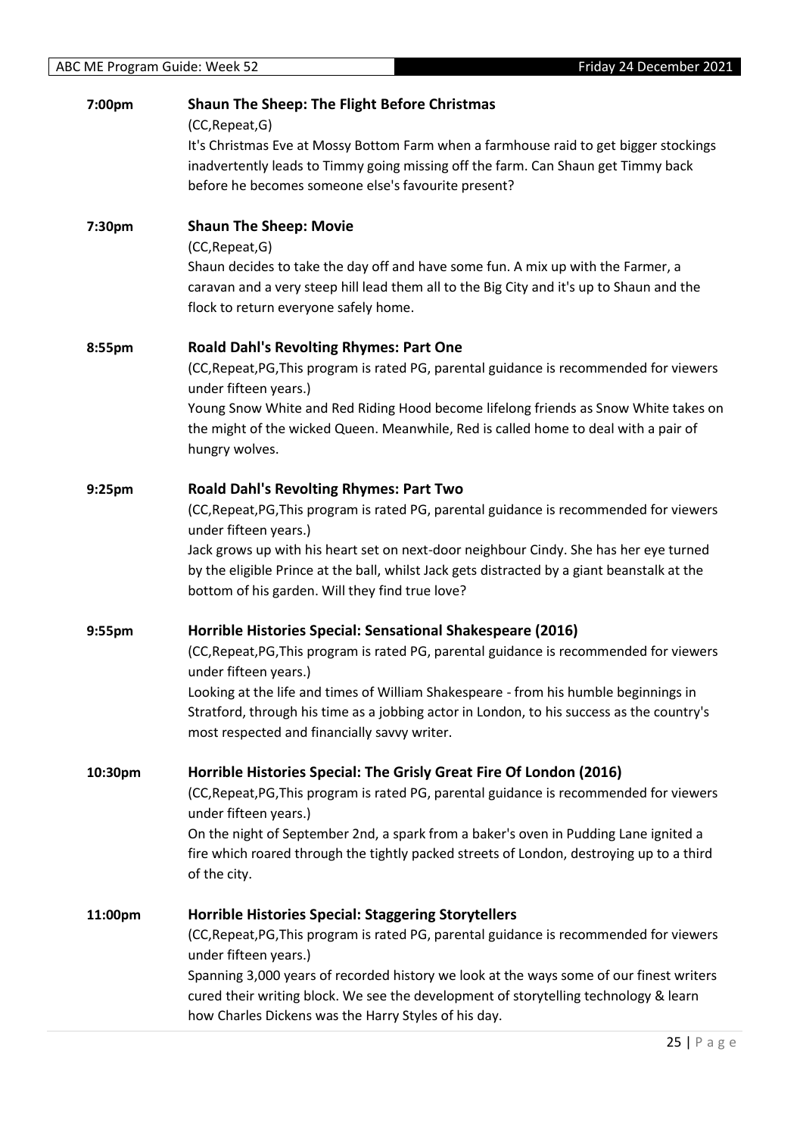| 7:00pm  | <b>Shaun The Sheep: The Flight Before Christmas</b><br>(CC, Repeat, G)                                                                                                       |
|---------|------------------------------------------------------------------------------------------------------------------------------------------------------------------------------|
|         | It's Christmas Eve at Mossy Bottom Farm when a farmhouse raid to get bigger stockings<br>inadvertently leads to Timmy going missing off the farm. Can Shaun get Timmy back   |
|         | before he becomes someone else's favourite present?                                                                                                                          |
| 7:30pm  | <b>Shaun The Sheep: Movie</b>                                                                                                                                                |
|         | (CC, Repeat, G)                                                                                                                                                              |
|         | Shaun decides to take the day off and have some fun. A mix up with the Farmer, a<br>caravan and a very steep hill lead them all to the Big City and it's up to Shaun and the |
|         | flock to return everyone safely home.                                                                                                                                        |
| 8:55pm  | <b>Roald Dahl's Revolting Rhymes: Part One</b>                                                                                                                               |
|         | (CC, Repeat, PG, This program is rated PG, parental guidance is recommended for viewers<br>under fifteen years.)                                                             |
|         | Young Snow White and Red Riding Hood become lifelong friends as Snow White takes on                                                                                          |
|         | the might of the wicked Queen. Meanwhile, Red is called home to deal with a pair of<br>hungry wolves.                                                                        |
| 9:25pm  | <b>Roald Dahl's Revolting Rhymes: Part Two</b>                                                                                                                               |
|         | (CC, Repeat, PG, This program is rated PG, parental guidance is recommended for viewers<br>under fifteen years.)                                                             |
|         | Jack grows up with his heart set on next-door neighbour Cindy. She has her eye turned                                                                                        |
|         | by the eligible Prince at the ball, whilst Jack gets distracted by a giant beanstalk at the<br>bottom of his garden. Will they find true love?                               |
| 9:55pm  | Horrible Histories Special: Sensational Shakespeare (2016)                                                                                                                   |
|         | (CC, Repeat, PG, This program is rated PG, parental guidance is recommended for viewers<br>under fifteen years.)                                                             |
|         | Looking at the life and times of William Shakespeare - from his humble beginnings in                                                                                         |
|         | Stratford, through his time as a jobbing actor in London, to his success as the country's<br>most respected and financially savvy writer.                                    |
| 10:30pm | Horrible Histories Special: The Grisly Great Fire Of London (2016)                                                                                                           |
|         | (CC, Repeat, PG, This program is rated PG, parental guidance is recommended for viewers<br>under fifteen years.)                                                             |
|         | On the night of September 2nd, a spark from a baker's oven in Pudding Lane ignited a                                                                                         |
|         | fire which roared through the tightly packed streets of London, destroying up to a third                                                                                     |
|         | of the city.                                                                                                                                                                 |
| 11:00pm | <b>Horrible Histories Special: Staggering Storytellers</b>                                                                                                                   |
|         | (CC, Repeat, PG, This program is rated PG, parental guidance is recommended for viewers<br>under fifteen years.)                                                             |
|         | Spanning 3,000 years of recorded history we look at the ways some of our finest writers                                                                                      |
|         | cured their writing block. We see the development of storytelling technology & learn                                                                                         |
|         | how Charles Dickens was the Harry Styles of his day.                                                                                                                         |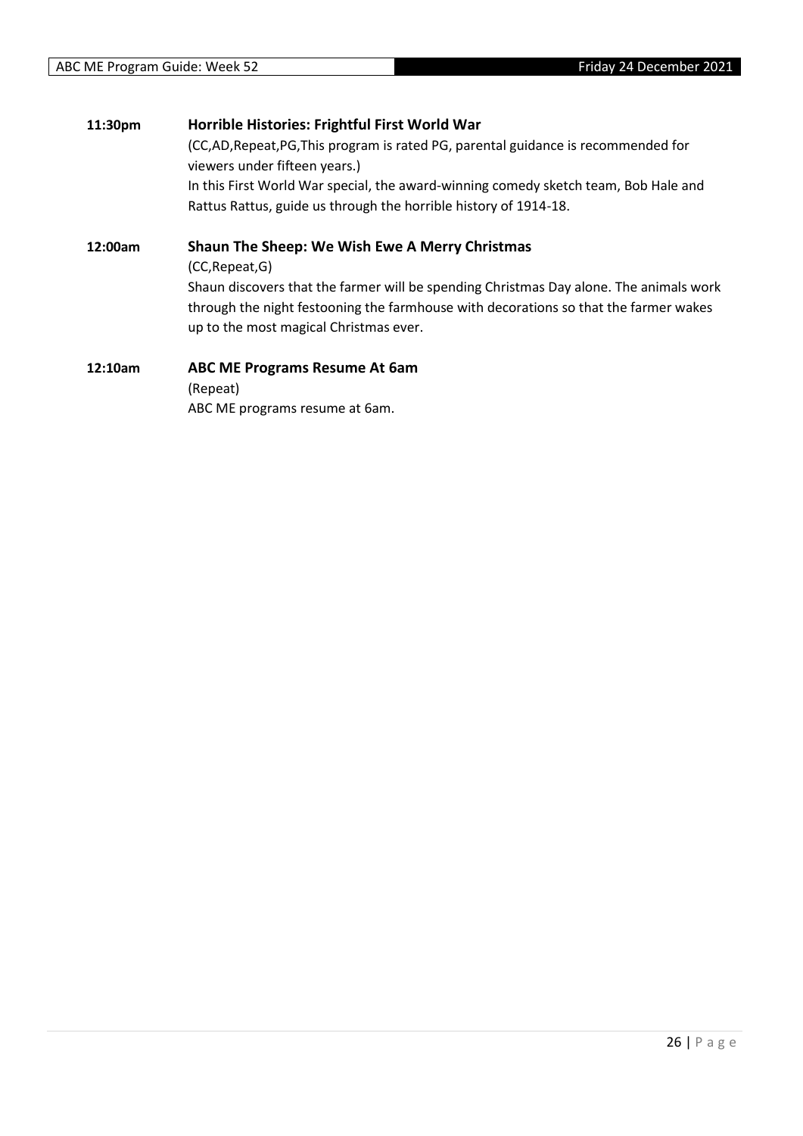| 11:30pm | Horrible Histories: Frightful First World War                                          |
|---------|----------------------------------------------------------------------------------------|
|         | (CC,AD,Repeat,PG,This program is rated PG, parental guidance is recommended for        |
|         | viewers under fifteen years.)                                                          |
|         | In this First World War special, the award-winning comedy sketch team, Bob Hale and    |
|         | Rattus Rattus, guide us through the horrible history of 1914-18.                       |
| 12:00am | Shaun The Sheep: We Wish Ewe A Merry Christmas                                         |
|         | (CC, Repeat, G)                                                                        |
|         | Shaun discovers that the farmer will be spending Christmas Day alone. The animals work |
|         | through the night festooning the farmhouse with decorations so that the farmer wakes   |
|         | up to the most magical Christmas ever.                                                 |
| 12:10am | <b>ABC ME Programs Resume At 6am</b>                                                   |
|         |                                                                                        |

(Repeat) ABC ME programs resume at 6am.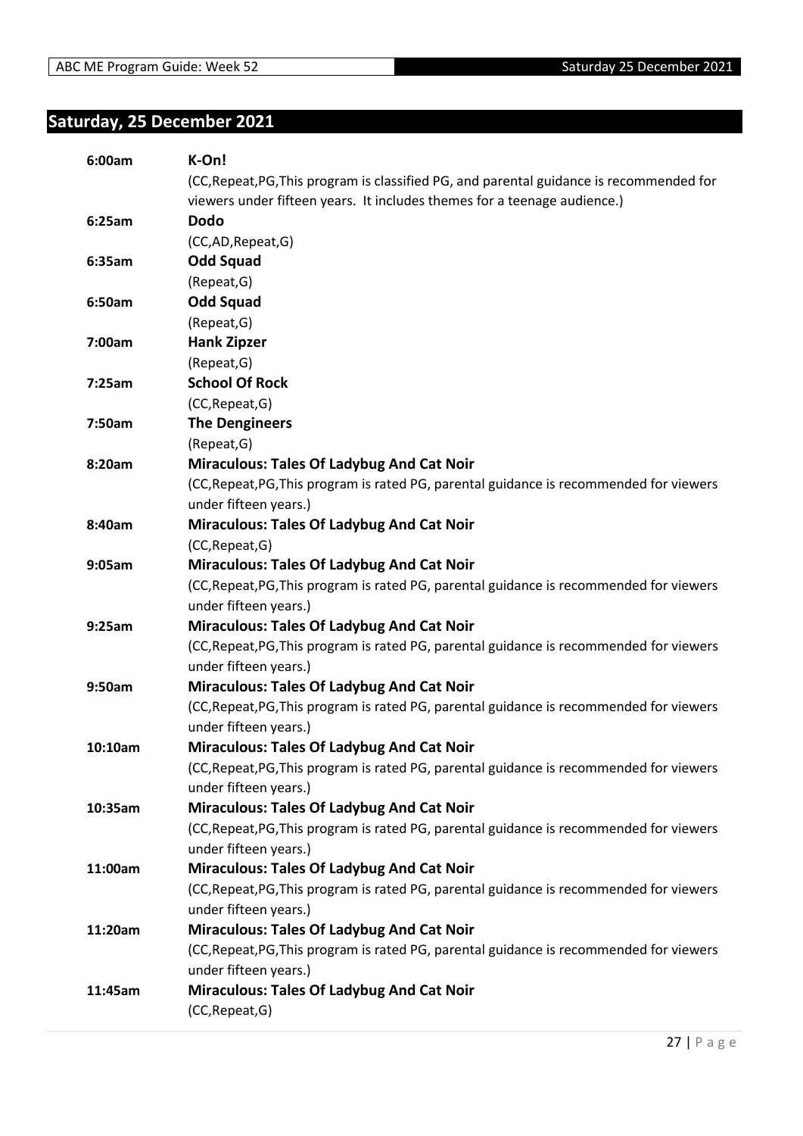# <span id="page-26-0"></span>**Saturday, 25 December 2021**

| 6:00am  | K-On!                                                                                    |
|---------|------------------------------------------------------------------------------------------|
|         | (CC, Repeat, PG, This program is classified PG, and parental guidance is recommended for |
|         | viewers under fifteen years. It includes themes for a teenage audience.)                 |
| 6:25am  | <b>Dodo</b>                                                                              |
|         | (CC,AD,Repeat,G)                                                                         |
| 6:35am  | <b>Odd Squad</b>                                                                         |
|         | (Repeat, G)                                                                              |
| 6:50am  | <b>Odd Squad</b>                                                                         |
|         | (Repeat, G)                                                                              |
| 7:00am  | <b>Hank Zipzer</b>                                                                       |
|         | (Repeat, G)                                                                              |
| 7:25am  | <b>School Of Rock</b>                                                                    |
|         | (CC, Repeat, G)                                                                          |
| 7:50am  | <b>The Dengineers</b>                                                                    |
|         | (Repeat, G)                                                                              |
| 8:20am  | <b>Miraculous: Tales Of Ladybug And Cat Noir</b>                                         |
|         | (CC, Repeat, PG, This program is rated PG, parental guidance is recommended for viewers  |
|         | under fifteen years.)                                                                    |
| 8:40am  | <b>Miraculous: Tales Of Ladybug And Cat Noir</b>                                         |
|         | (CC, Repeat, G)                                                                          |
| 9:05am  | <b>Miraculous: Tales Of Ladybug And Cat Noir</b>                                         |
|         | (CC, Repeat, PG, This program is rated PG, parental guidance is recommended for viewers  |
|         | under fifteen years.)                                                                    |
| 9:25am  | <b>Miraculous: Tales Of Ladybug And Cat Noir</b>                                         |
|         | (CC, Repeat, PG, This program is rated PG, parental guidance is recommended for viewers  |
|         | under fifteen years.)                                                                    |
| 9:50am  | <b>Miraculous: Tales Of Ladybug And Cat Noir</b>                                         |
|         | (CC, Repeat, PG, This program is rated PG, parental guidance is recommended for viewers  |
|         | under fifteen years.)                                                                    |
| 10:10am | <b>Miraculous: Tales Of Ladybug And Cat Noir</b>                                         |
|         | (CC, Repeat, PG, This program is rated PG, parental guidance is recommended for viewers  |
|         | under fifteen years.)                                                                    |
| 10:35am | <b>Miraculous: Tales Of Ladybug And Cat Noir</b>                                         |
|         | (CC, Repeat, PG, This program is rated PG, parental guidance is recommended for viewers  |
|         | under fifteen years.)                                                                    |
| 11:00am | <b>Miraculous: Tales Of Ladybug And Cat Noir</b>                                         |
|         | (CC, Repeat, PG, This program is rated PG, parental guidance is recommended for viewers  |
|         | under fifteen years.)                                                                    |
| 11:20am | <b>Miraculous: Tales Of Ladybug And Cat Noir</b>                                         |
|         | (CC, Repeat, PG, This program is rated PG, parental guidance is recommended for viewers  |
|         | under fifteen years.)                                                                    |
| 11:45am | Miraculous: Tales Of Ladybug And Cat Noir                                                |
|         | (CC, Repeat, G)                                                                          |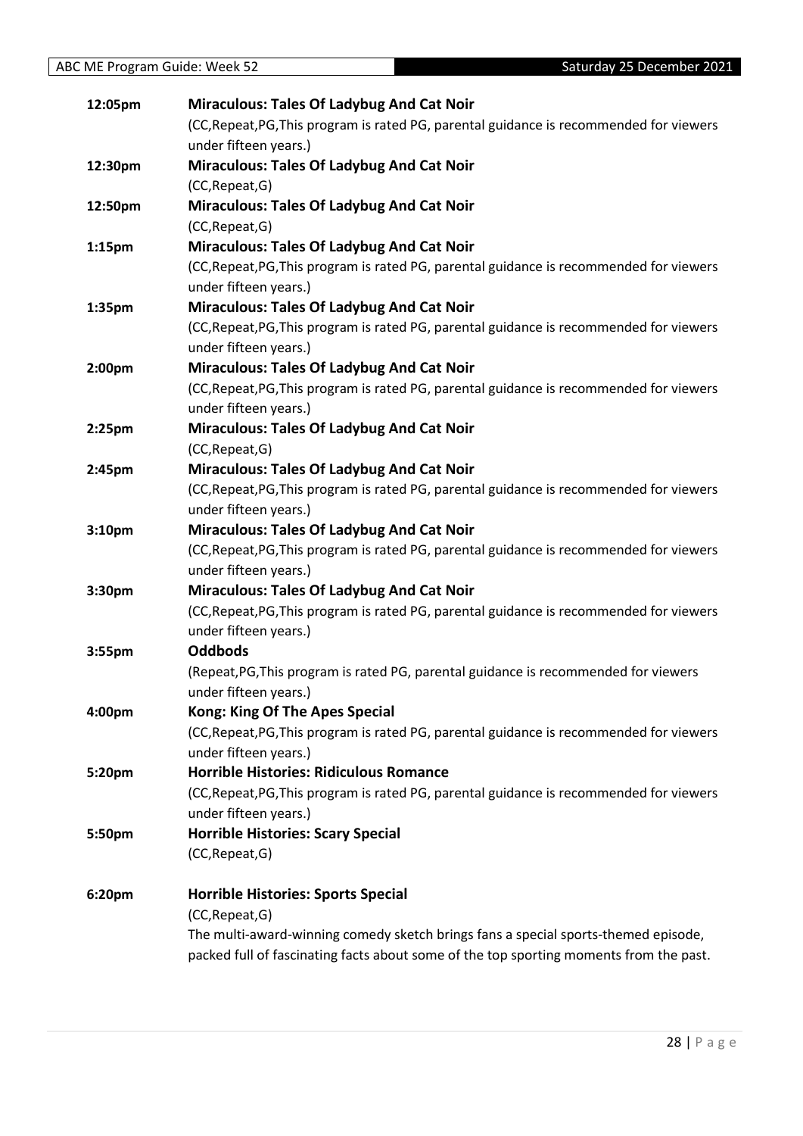| 12:05pm            | <b>Miraculous: Tales Of Ladybug And Cat Noir</b>                                        |
|--------------------|-----------------------------------------------------------------------------------------|
|                    | (CC, Repeat, PG, This program is rated PG, parental guidance is recommended for viewers |
|                    | under fifteen years.)                                                                   |
| 12:30pm            | <b>Miraculous: Tales Of Ladybug And Cat Noir</b>                                        |
|                    | (CC, Repeat, G)                                                                         |
| 12:50pm            | <b>Miraculous: Tales Of Ladybug And Cat Noir</b>                                        |
|                    | (CC, Repeat, G)                                                                         |
| 1:15 <sub>pm</sub> | <b>Miraculous: Tales Of Ladybug And Cat Noir</b>                                        |
|                    | (CC, Repeat, PG, This program is rated PG, parental guidance is recommended for viewers |
|                    | under fifteen years.)                                                                   |
| 1:35pm             | <b>Miraculous: Tales Of Ladybug And Cat Noir</b>                                        |
|                    | (CC, Repeat, PG, This program is rated PG, parental guidance is recommended for viewers |
|                    | under fifteen years.)                                                                   |
| 2:00 <sub>pm</sub> | <b>Miraculous: Tales Of Ladybug And Cat Noir</b>                                        |
|                    | (CC, Repeat, PG, This program is rated PG, parental guidance is recommended for viewers |
|                    | under fifteen years.)                                                                   |
| 2:25 <sub>pm</sub> | Miraculous: Tales Of Ladybug And Cat Noir                                               |
|                    | (CC, Repeat, G)                                                                         |
| 2:45pm             | <b>Miraculous: Tales Of Ladybug And Cat Noir</b>                                        |
|                    | (CC, Repeat, PG, This program is rated PG, parental guidance is recommended for viewers |
|                    | under fifteen years.)                                                                   |
| 3:10pm             | <b>Miraculous: Tales Of Ladybug And Cat Noir</b>                                        |
|                    | (CC, Repeat, PG, This program is rated PG, parental guidance is recommended for viewers |
|                    | under fifteen years.)                                                                   |
| 3:30pm             | <b>Miraculous: Tales Of Ladybug And Cat Noir</b>                                        |
|                    | (CC, Repeat, PG, This program is rated PG, parental guidance is recommended for viewers |
|                    | under fifteen years.)                                                                   |
| 3:55pm             | <b>Oddbods</b>                                                                          |
|                    | (Repeat, PG, This program is rated PG, parental guidance is recommended for viewers     |
|                    | under fifteen years.)                                                                   |
| 4:00pm             | <b>Kong: King Of The Apes Special</b>                                                   |
|                    | (CC, Repeat, PG, This program is rated PG, parental guidance is recommended for viewers |
|                    | under fifteen years.)                                                                   |
| 5:20pm             | <b>Horrible Histories: Ridiculous Romance</b>                                           |
|                    | (CC, Repeat, PG, This program is rated PG, parental guidance is recommended for viewers |
|                    | under fifteen years.)                                                                   |
| 5:50pm             | <b>Horrible Histories: Scary Special</b>                                                |
|                    | (CC, Repeat, G)                                                                         |
| 6:20pm             | <b>Horrible Histories: Sports Special</b>                                               |
|                    | (CC, Repeat, G)                                                                         |
|                    | The multi-award-winning comedy sketch brings fans a special sports-themed episode,      |
|                    | packed full of fascinating facts about some of the top sporting moments from the past.  |
|                    |                                                                                         |